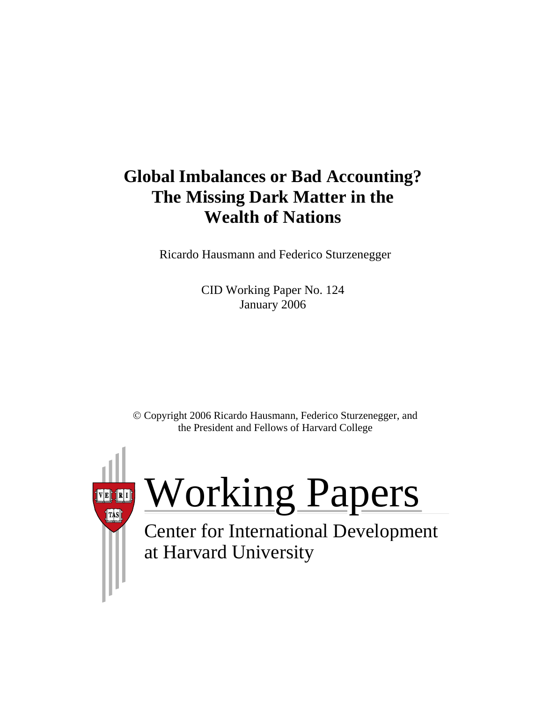# **Global Imbalances or Bad Accounting? The Missing Dark Matter in the Wealth of Nations**

Ricardo Hausmann and Federico Sturzenegger

CID Working Paper No. 124 January 2006

© Copyright 2006 Ricardo Hausmann, Federico Sturzenegger, and the President and Fellows of Harvard College

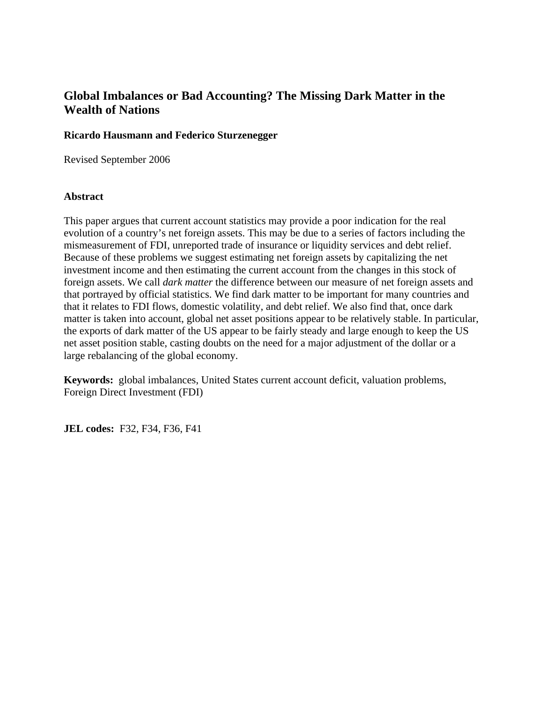# **Global Imbalances or Bad Accounting? The Missing Dark Matter in the Wealth of Nations**

## **Ricardo Hausmann and Federico Sturzenegger**

Revised September 2006

## **Abstract**

This paper argues that current account statistics may provide a poor indication for the real evolution of a country's net foreign assets. This may be due to a series of factors including the mismeasurement of FDI, unreported trade of insurance or liquidity services and debt relief. Because of these problems we suggest estimating net foreign assets by capitalizing the net investment income and then estimating the current account from the changes in this stock of foreign assets. We call *dark matter* the difference between our measure of net foreign assets and that portrayed by official statistics. We find dark matter to be important for many countries and that it relates to FDI flows, domestic volatility, and debt relief. We also find that, once dark matter is taken into account, global net asset positions appear to be relatively stable. In particular, the exports of dark matter of the US appear to be fairly steady and large enough to keep the US net asset position stable, casting doubts on the need for a major adjustment of the dollar or a large rebalancing of the global economy.

**Keywords:** global imbalances, United States current account deficit, valuation problems, Foreign Direct Investment (FDI)

**JEL codes:** F32, F34, F36, F41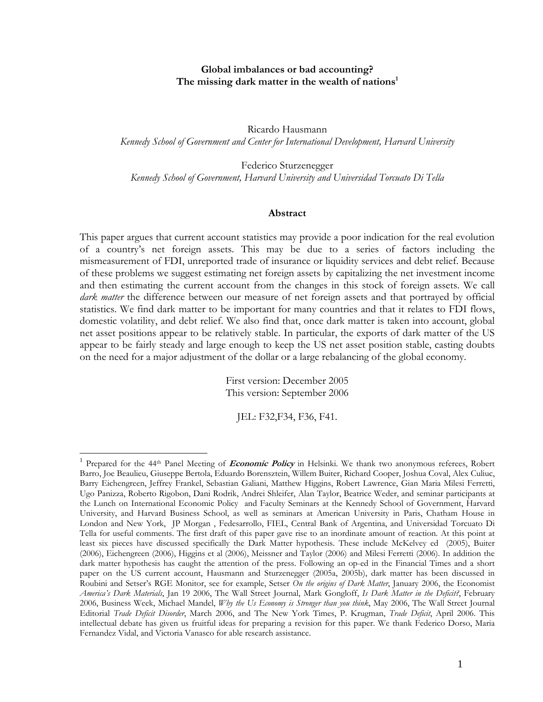#### **Global imbalances or bad accounting?**  The missing dark matter in the wealth of nations<sup>1</sup>

Ricardo Hausmann *Kennedy School of Government and Center for International Development, Harvard University* 

Federico Sturzenegger *Kennedy School of Government, Harvard University and Universidad Torcuato Di Tella* 

#### **Abstract**

This paper argues that current account statistics may provide a poor indication for the real evolution of a country's net foreign assets. This may be due to a series of factors including the mismeasurement of FDI, unreported trade of insurance or liquidity services and debt relief. Because of these problems we suggest estimating net foreign assets by capitalizing the net investment income and then estimating the current account from the changes in this stock of foreign assets. We call *dark matter* the difference between our measure of net foreign assets and that portrayed by official statistics. We find dark matter to be important for many countries and that it relates to FDI flows, domestic volatility, and debt relief. We also find that, once dark matter is taken into account, global net asset positions appear to be relatively stable. In particular, the exports of dark matter of the US appear to be fairly steady and large enough to keep the US net asset position stable, casting doubts on the need for a major adjustment of the dollar or a large rebalancing of the global economy.

> First version: December 2005 This version: September 2006

JEL: F32,F34, F36, F41.

<span id="page-2-0"></span><sup>&</sup>lt;sup>1</sup> Prepared for the 44<sup>th</sup> Panel Meeting of *Economic Policy* in Helsinki. We thank two anonymous referees, Robert Barro, Joe Beaulieu, Giuseppe Bertola, Eduardo Borensztein, Willem Buiter, Richard Cooper, Joshua Coval, Alex Culiuc, Barry Eichengreen, Jeffrey Frankel, Sebastian Galiani, Matthew Higgins, Robert Lawrence, Gian Maria Milesi Ferretti, Ugo Panizza, Roberto Rigobon, Dani Rodrik, Andrei Shleifer, Alan Taylor, Beatrice Weder, and seminar participants at the Lunch on International Economic Policy and Faculty Seminars at the Kennedy School of Government, Harvard University, and Harvard Business School, as well as seminars at American University in Paris, Chatham House in London and New York, JP Morgan , Fedesarrollo, FIEL, Central Bank of Argentina, and Universidad Torcuato Di Tella for useful comments. The first draft of this paper gave rise to an inordinate amount of reaction. At this point at least six pieces have discussed specifically the Dark Matter hypothesis. These include McKelvey ed (2005), Buiter (2006), Eichengreen (2006), Higgins et al (2006), Meissner and Taylor (2006) and Milesi Ferretti (2006). In addition the dark matter hypothesis has caught the attention of the press. Following an op-ed in the Financial Times and a short paper on the US current account, Hausmann and Sturzenegger (2005a, 2005b), dark matter has been discussed in Roubini and Setser's RGE Monitor, see for example, Setser *On the origins of Dark Matter*, January 2006, the Economist *America's Dark Materials*, Jan 19 2006, The Wall Street Journal, Mark Gongloff, *Is Dark Matter in the Deficit?*, February 2006, Business Week, Michael Mandel, *Why the Us Economy is Stronger than you think*, May 2006, The Wall Street Journal Editorial *Trade Deficit Disorder*, March 2006, and The New York Times, P. Krugman, *Trade Deficit*, April 2006. This intellectual debate has given us fruitful ideas for preparing a revision for this paper. We thank Federico Dorso, Maria Fernandez Vidal, and Victoria Vanasco for able research assistance.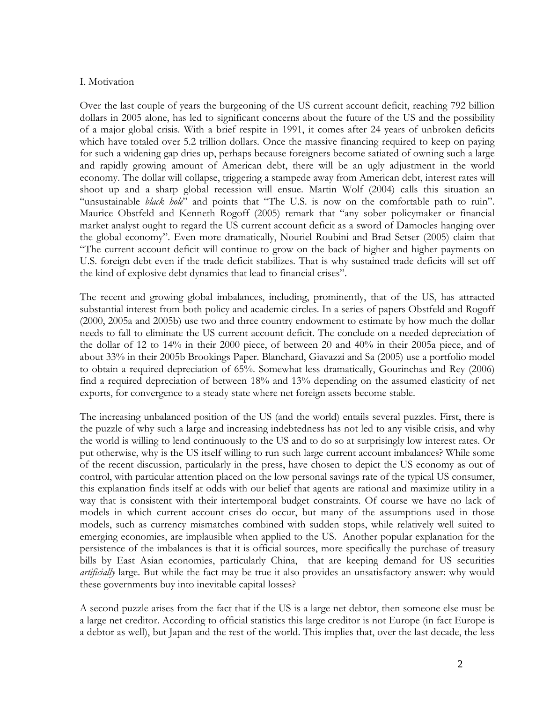#### I. Motivation

Over the last couple of years the burgeoning of the US current account deficit, reaching 792 billion dollars in 2005 alone, has led to significant concerns about the future of the US and the possibility of a major global crisis. With a brief respite in 1991, it comes after 24 years of unbroken deficits which have totaled over 5.2 trillion dollars. Once the massive financing required to keep on paying for such a widening gap dries up, perhaps because foreigners become satiated of owning such a large and rapidly growing amount of American debt, there will be an ugly adjustment in the world economy. The dollar will collapse, triggering a stampede away from American debt, interest rates will shoot up and a sharp global recession will ensue. Martin Wolf (2004) calls this situation an "unsustainable *black hole*" and points that "The U.S. is now on the comfortable path to ruin". Maurice Obstfeld and Kenneth Rogoff (2005) remark that "any sober policymaker or financial market analyst ought to regard the US current account deficit as a sword of Damocles hanging over the global economy". Even more dramatically, Nouriel Roubini and Brad Setser (2005) claim that "The current account deficit will continue to grow on the back of higher and higher payments on U.S. foreign debt even if the trade deficit stabilizes. That is why sustained trade deficits will set off the kind of explosive debt dynamics that lead to financial crises".

The recent and growing global imbalances, including, prominently, that of the US, has attracted substantial interest from both policy and academic circles. In a series of papers Obstfeld and Rogoff (2000, 2005a and 2005b) use two and three country endowment to estimate by how much the dollar needs to fall to eliminate the US current account deficit. The conclude on a needed depreciation of the dollar of 12 to 14% in their 2000 piece, of between 20 and 40% in their 2005a piece, and of about 33% in their 2005b Brookings Paper. Blanchard, Giavazzi and Sa (2005) use a portfolio model to obtain a required depreciation of 65%. Somewhat less dramatically, Gourinchas and Rey (2006) find a required depreciation of between 18% and 13% depending on the assumed elasticity of net exports, for convergence to a steady state where net foreign assets become stable.

The increasing unbalanced position of the US (and the world) entails several puzzles. First, there is the puzzle of why such a large and increasing indebtedness has not led to any visible crisis, and why the world is willing to lend continuously to the US and to do so at surprisingly low interest rates. Or put otherwise, why is the US itself willing to run such large current account imbalances? While some of the recent discussion, particularly in the press, have chosen to depict the US economy as out of control, with particular attention placed on the low personal savings rate of the typical US consumer, this explanation finds itself at odds with our belief that agents are rational and maximize utility in a way that is consistent with their intertemporal budget constraints. Of course we have no lack of models in which current account crises do occur, but many of the assumptions used in those models, such as currency mismatches combined with sudden stops, while relatively well suited to emerging economies, are implausible when applied to the US. Another popular explanation for the persistence of the imbalances is that it is official sources, more specifically the purchase of treasury bills by East Asian economies, particularly China, that are keeping demand for US securities *artificially* large. But while the fact may be true it also provides an unsatisfactory answer: why would these governments buy into inevitable capital losses?

A second puzzle arises from the fact that if the US is a large net debtor, then someone else must be a large net creditor. According to official statistics this large creditor is not Europe (in fact Europe is a debtor as well), but Japan and the rest of the world. This implies that, over the last decade, the less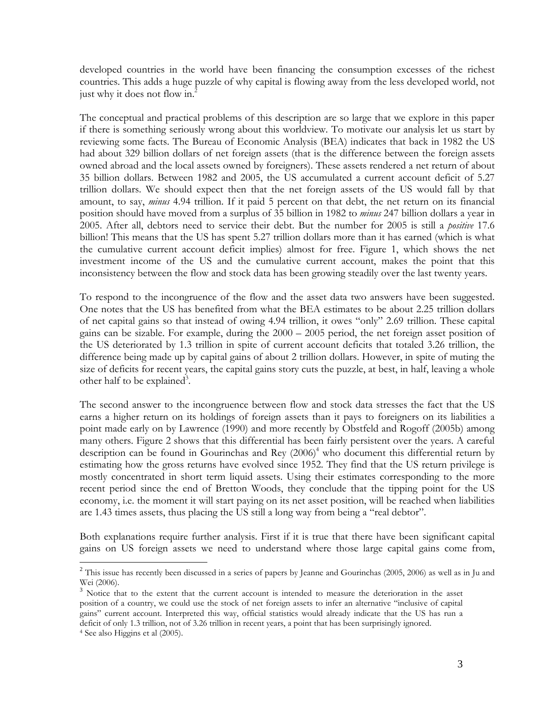developed countries in the world have been financing the consumption excesses of the richest countries. This adds a huge puzzle of why capital is flowing away from the less developed world, not just why it does not flow in.<sup>[2](#page-4-0)</sup>

The conceptual and practical problems of this description are so large that we explore in this paper if there is something seriously wrong about this worldview. To motivate our analysis let us start by reviewing some facts. The Bureau of Economic Analysis (BEA) indicates that back in 1982 the US had about 329 billion dollars of net foreign assets (that is the difference between the foreign assets owned abroad and the local assets owned by foreigners). These assets rendered a net return of about 35 billion dollars. Between 1982 and 2005, the US accumulated a current account deficit of 5.27 trillion dollars. We should expect then that the net foreign assets of the US would fall by that amount, to say, *minus* 4.94 trillion. If it paid 5 percent on that debt, the net return on its financial position should have moved from a surplus of 35 billion in 1982 to *minus* 247 billion dollars a year in 2005. After all, debtors need to service their debt. But the number for 2005 is still a *positive* 17.6 billion! This means that the US has spent 5.27 trillion dollars more than it has earned (which is what the cumulative current account deficit implies) almost for free. Figure 1, which shows the net investment income of the US and the cumulative current account, makes the point that this inconsistency between the flow and stock data has been growing steadily over the last twenty years.

To respond to the incongruence of the flow and the asset data two answers have been suggested. One notes that the US has benefited from what the BEA estimates to be about 2.25 trillion dollars of net capital gains so that instead of owing 4.94 trillion, it owes "only" 2.69 trillion. These capital gains can be sizable. For example, during the 2000 – 2005 period, the net foreign asset position of the US deteriorated by 1.3 trillion in spite of current account deficits that totaled 3.26 trillion, the difference being made up by capital gains of about 2 trillion dollars. However, in spite of muting the size of deficits for recent years, the capital gains story cuts the puzzle, at best, in half, leaving a whole other half to be explained<sup>3</sup>.

The second answer to the incongruence between flow and stock data stresses the fact that the US earns a higher return on its holdings of foreign assets than it pays to foreigners on its liabilities a point made early on by Lawrence (1990) and more recently by Obstfeld and Rogoff (2005b) among many others. Figure 2 shows that this differential has been fairly persistent over the years. A careful description can be found in Gourinchas and Rey  $(2006)^4$  $(2006)^4$  who document this differential return by estimating how the gross returns have evolved since 1952. They find that the US return privilege is mostly concentrated in short term liquid assets. Using their estimates corresponding to the more recent period since the end of Bretton Woods, they conclude that the tipping point for the US economy, i.e. the moment it will start paying on its net asset position, will be reached when liabilities are 1.43 times assets, thus placing the US still a long way from being a "real debtor".

Both explanations require further analysis. First if it is true that there have been significant capital gains on US foreign assets we need to understand where those large capital gains come from,

<u>.</u>

<span id="page-4-0"></span> $2$  This issue has recently been discussed in a series of papers by Jeanne and Gourinchas (2005, 2006) as well as in Ju and

<span id="page-4-2"></span><span id="page-4-1"></span>Wei (2006).<br><sup>3</sup> Notice that to the extent that the current account is intended to measure the deterioration in the asset position of a country, we could use the stock of net foreign assets to infer an alternative "inclusive of capital gains" current account. Interpreted this way, official statistics would already indicate that the US has run a deficit of only 1.3 trillion, not of 3.26 trillion in recent years, a point that has been surprisingly ignored. 4 See also Higgins et al (2005).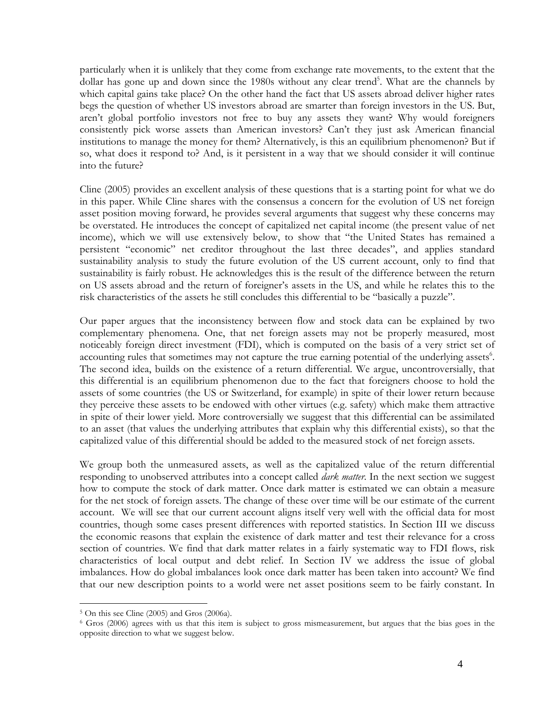particularly when it is unlikely that they come from exchange rate movements, to the extent that the dollar has gone up and down since the 1980s without any clear trend<sup>5</sup>. What are the channels by which capital gains take place? On the other hand the fact that US assets abroad deliver higher rates begs the question of whether US investors abroad are smarter than foreign investors in the US. But, aren't global portfolio investors not free to buy any assets they want? Why would foreigners consistently pick worse assets than American investors? Can't they just ask American financial institutions to manage the money for them? Alternatively, is this an equilibrium phenomenon? But if so, what does it respond to? And, is it persistent in a way that we should consider it will continue into the future?

Cline (2005) provides an excellent analysis of these questions that is a starting point for what we do in this paper. While Cline shares with the consensus a concern for the evolution of US net foreign asset position moving forward, he provides several arguments that suggest why these concerns may be overstated. He introduces the concept of capitalized net capital income (the present value of net income), which we will use extensively below, to show that "the United States has remained a persistent "economic" net creditor throughout the last three decades", and applies standard sustainability analysis to study the future evolution of the US current account, only to find that sustainability is fairly robust. He acknowledges this is the result of the difference between the return on US assets abroad and the return of foreigner's assets in the US, and while he relates this to the risk characteristics of the assets he still concludes this differential to be "basically a puzzle".

Our paper argues that the inconsistency between flow and stock data can be explained by two complementary phenomena. One, that net foreign assets may not be properly measured, most noticeably foreign direct investment (FDI), which is computed on the basis of a very strict set of accounting rules that sometimes may not capture the true earning potential of the underlying assets<sup>6</sup>. The second idea, builds on the existence of a return differential. We argue, uncontroversially, that this differential is an equilibrium phenomenon due to the fact that foreigners choose to hold the assets of some countries (the US or Switzerland, for example) in spite of their lower return because they perceive these assets to be endowed with other virtues (e.g. safety) which make them attractive in spite of their lower yield. More controversially we suggest that this differential can be assimilated to an asset (that values the underlying attributes that explain why this differential exists), so that the capitalized value of this differential should be added to the measured stock of net foreign assets.

We group both the unmeasured assets, as well as the capitalized value of the return differential responding to unobserved attributes into a concept called *dark matter*. In the next section we suggest how to compute the stock of dark matter. Once dark matter is estimated we can obtain a measure for the net stock of foreign assets. The change of these over time will be our estimate of the current account. We will see that our current account aligns itself very well with the official data for most countries, though some cases present differences with reported statistics. In Section III we discuss the economic reasons that explain the existence of dark matter and test their relevance for a cross section of countries. We find that dark matter relates in a fairly systematic way to FDI flows, risk characteristics of local output and debt relief. In Section IV we address the issue of global imbalances. How do global imbalances look once dark matter has been taken into account? We find that our new description points to a world were net asset positions seem to be fairly constant. In

<span id="page-5-1"></span><span id="page-5-0"></span>

<sup>5</sup> On this see Cline (2005) and Gros (2006a). 6 Gros (2006) agrees with us that this item is subject to gross mismeasurement, but argues that the bias goes in the opposite direction to what we suggest below.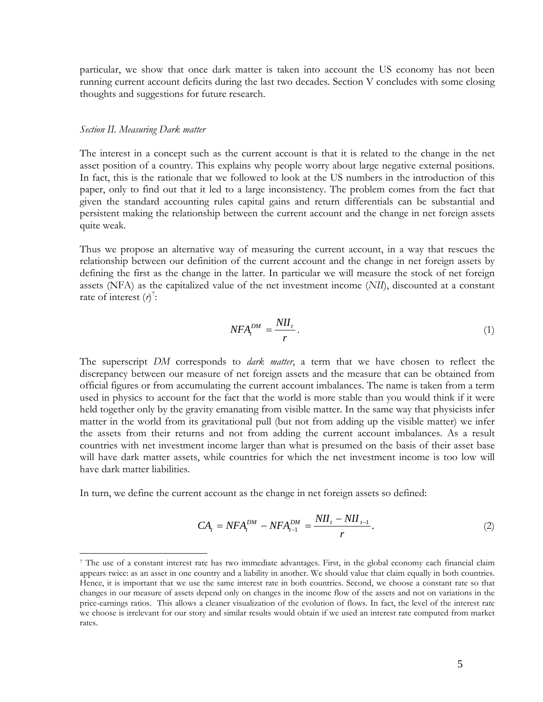particular, we show that once dark matter is taken into account the US economy has not been running current account deficits during the last two decades. Section V concludes with some closing thoughts and suggestions for future research.

#### *Section II. Measuring Dark matter*

 $\overline{a}$ 

The interest in a concept such as the current account is that it is related to the change in the net asset position of a country. This explains why people worry about large negative external positions. In fact, this is the rationale that we followed to look at the US numbers in the introduction of this paper, only to find out that it led to a large inconsistency. The problem comes from the fact that given the standard accounting rules capital gains and return differentials can be substantial and persistent making the relationship between the current account and the change in net foreign assets quite weak.

Thus we propose an alternative way of measuring the current account, in a way that rescues the relationship between our definition of the current account and the change in net foreign assets by defining the first as the change in the latter. In particular we will measure the stock of net foreign assets (NFA) as the capitalized value of the net investment income (*NII*), discounted at a constant rate of interest  $(r)^7$  $(r)^7$ :

$$
NFA_t^{DM} = \frac{NII_t}{r} \,. \tag{1}
$$

The superscript *DM* corresponds to *dark matter*, a term that we have chosen to reflect the discrepancy between our measure of net foreign assets and the measure that can be obtained from official figures or from accumulating the current account imbalances. The name is taken from a term used in physics to account for the fact that the world is more stable than you would think if it were held together only by the gravity emanating from visible matter. In the same way that physicists infer matter in the world from its gravitational pull (but not from adding up the visible matter) we infer the assets from their returns and not from adding the current account imbalances. As a result countries with net investment income larger than what is presumed on the basis of their asset base will have dark matter assets, while countries for which the net investment income is too low will have dark matter liabilities.

In turn, we define the current account as the change in net foreign assets so defined:

$$
CA_{t} = NFA_{t}^{DM} - NFA_{t-1}^{DM} = \frac{NII_{t} - NII_{t-1}}{r}.
$$
\n(2)

<span id="page-6-0"></span><sup>7</sup> The use of a constant interest rate has two immediate advantages. First, in the global economy each financial claim appears twice: as an asset in one country and a liability in another. We should value that claim equally in both countries. Hence, it is important that we use the same interest rate in both countries. Second, we choose a constant rate so that changes in our measure of assets depend only on changes in the income flow of the assets and not on variations in the price-earnings ratios. This allows a cleaner visualization of the evolution of flows. In fact, the level of the interest rate we choose is irrelevant for our story and similar results would obtain if we used an interest rate computed from market rates.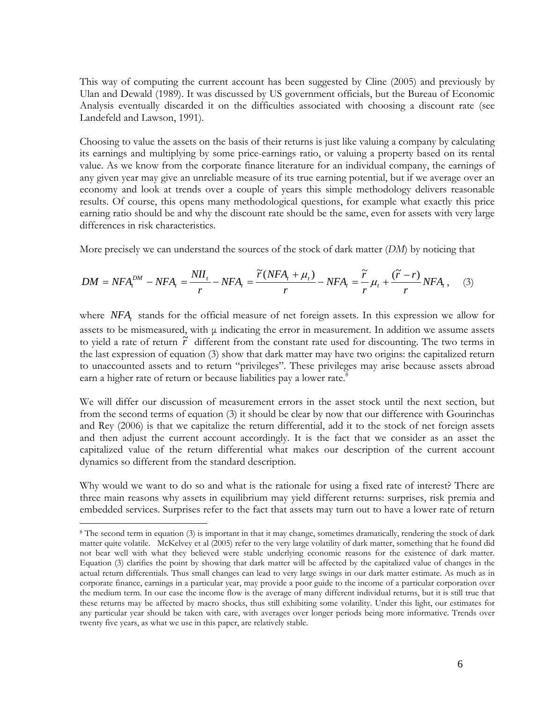This way of computing the current account has been suggested by Cline (2005) and previously by Ulan and Dewald (1989). It was discussed by US government officials, but the Bureau of Economic Analysis eventually discarded it on the difficulties associated with choosing a discount rate (see Landefeld and Lawson, 1991).

Choosing to value the assets on the basis of their returns is just like valuing a company by calculating its earnings and multiplying by some price-earnings ratio, or valuing a property based on its rental value. As we know from the corporate finance literature for an individual company, the earnings of any given year may give an unreliable measure of its true earning potential, but if we average over an economy and look at trends over a couple of years this simple methodology delivers reasonable results. Of course, this opens many methodological questions, for example what exactly this price earning ratio should be and why the discount rate should be the same, even for assets with very large differences in risk characteristics.

More precisely we can understand the sources of the stock of dark matter (*DM*) by noticing that

$$
DM = NFA_t^{DM} - NFA_t = \frac{NII_t}{r} - NFA_t = \frac{\widetilde{r}(NFA_t + \mu_t)}{r} - NFA_t = \frac{\widetilde{r}}{r} \mu_t + \frac{(\widetilde{r} - r)}{r} NFA_t, \quad (3)
$$

where *NFA<sub>t</sub>* stands for the official measure of net foreign assets. In this expression we allow for assets to be mismeasured, with  $\mu$  indicating the error in measurement. In addition we assume assets to yield a rate of return  $\tilde{r}$  different from the constant rate used for discounting. The two terms in the last expression of equation (3) show that dark matter may have two origins: the capitalized return to unaccounted assets and to return "privileges". These privileges may arise because assets abroad earn a higher rate of return or because liabilities pay a lower rate. $8$ 

We will differ our discussion of measurement errors in the asset stock until the next section, but from the second terms of equation (3) it should be clear by now that our difference with Gourinchas and Rey (2006) is that we capitalize the return differential, add it to the stock of net foreign assets and then adjust the current account accordingly. It is the fact that we consider as an asset the capitalized value of the return differential what makes our description of the current account dynamics so different from the standard description.

Why would we want to do so and what is the rationale for using a fixed rate of interest? There are three main reasons why assets in equilibrium may yield different returns: surprises, risk premia and embedded services. Surprises refer to the fact that assets may turn out to have a lower rate of return

<span id="page-7-0"></span><sup>8</sup> The second term in equation (3) is important in that it may change, sometimes dramatically, rendering the stock of dark matter quite volatile. McKelvey et al (2005) refer to the very large volatility of dark matter, something that he found did not bear well with what they believed were stable underlying economic reasons for the existence of dark matter. Equation (3) clarifies the point by showing that dark matter will be affected by the capitalized value of changes in the actual return differentials. Thus small changes can lead to very large swings in our dark matter estimate. As much as in corporate finance, earnings in a particular year, may provide a poor guide to the income of a particular corporation over the medium term. In our case the income flow is the average of many different individual returns, but it is still true that these returns may be affected by macro shocks, thus still exhibiting some volatility. Under this light, our estimates for any particular year should be taken with care, with averages over longer periods being more informative. Trends over twenty five years, as what we use in this paper, are relatively stable.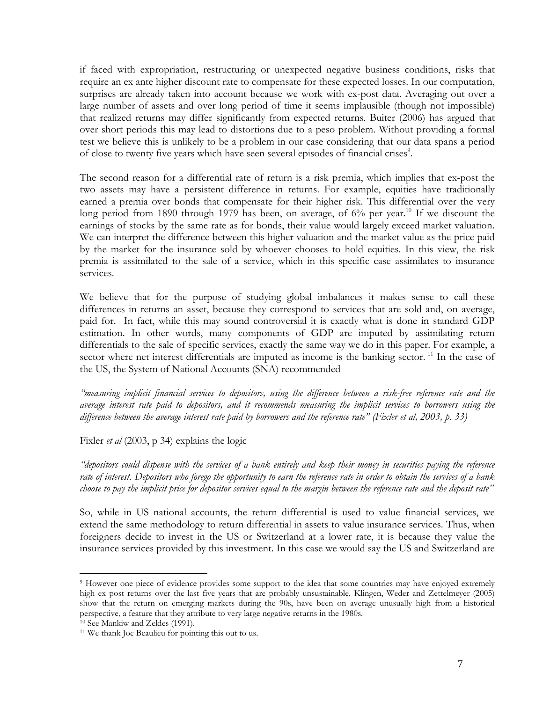if faced with expropriation, restructuring or unexpected negative business conditions, risks that require an ex ante higher discount rate to compensate for these expected losses. In our computation, surprises are already taken into account because we work with ex-post data. Averaging out over a large number of assets and over long period of time it seems implausible (though not impossible) that realized returns may differ significantly from expected returns. Buiter (2006) has argued that over short periods this may lead to distortions due to a peso problem. Without providing a formal test we believe this is unlikely to be a problem in our case considering that our data spans a period of close to twenty five years which have seen several episodes of financial crises<sup>[9](#page-8-0)</sup>.

The second reason for a differential rate of return is a risk premia, which implies that ex-post the two assets may have a persistent difference in returns. For example, equities have traditionally earned a premia over bonds that compensate for their higher risk. This differential over the very long period from 1890 through 1979 has been, on average, of  $6\%$  per year.<sup>10</sup> If we discount the earnings of stocks by the same rate as for bonds, their value would largely exceed market valuation. We can interpret the difference between this higher valuation and the market value as the price paid by the market for the insurance sold by whoever chooses to hold equities. In this view, the risk premia is assimilated to the sale of a service, which in this specific case assimilates to insurance services.

We believe that for the purpose of studying global imbalances it makes sense to call these differences in returns an asset, because they correspond to services that are sold and, on average, paid for. In fact, while this may sound controversial it is exactly what is done in standard GDP estimation. In other words, many components of GDP are imputed by assimilating return differentials to the sale of specific services, exactly the same way we do in this paper. For example, a sector where net interest differentials are imputed as income is the banking sector.<sup>11</sup> In the case of the US, the System of National Accounts (SNA) recommended

*"measuring implicit financial services to depositors, using the difference between a risk-free reference rate and the average interest rate paid to depositors, and it recommends measuring the implicit services to borrowers using the difference between the average interest rate paid by borrowers and the reference rate" (Fixler et al, 2003, p. 33)* 

Fixler *et al* (2003, p 34) explains the logic

*"depositors could dispense with the services of a bank entirely and keep their money in securities paying the reference rate of interest. Depositors who forego the opportunity to earn the reference rate in order to obtain the services of a bank choose to pay the implicit price for depositor services equal to the margin between the reference rate and the deposit rate"* 

So, while in US national accounts, the return differential is used to value financial services, we extend the same methodology to return differential in assets to value insurance services. Thus, when foreigners decide to invest in the US or Switzerland at a lower rate, it is because they value the insurance services provided by this investment. In this case we would say the US and Switzerland are

<span id="page-8-0"></span><sup>9</sup> However one piece of evidence provides some support to the idea that some countries may have enjoyed extremely high ex post returns over the last five years that are probably unsustainable. Klingen, Weder and Zettelmeyer (2005) show that the return on emerging markets during the 90s, have been on average unusually high from a historical perspective, a feature that they attribute to very large negative returns in the 1980s.<br><sup>10</sup> See Mankiw and Zeldes (1991).<br><sup>11</sup> We thank Joe Beaulieu for pointing this out to us.

<span id="page-8-1"></span>

<span id="page-8-2"></span>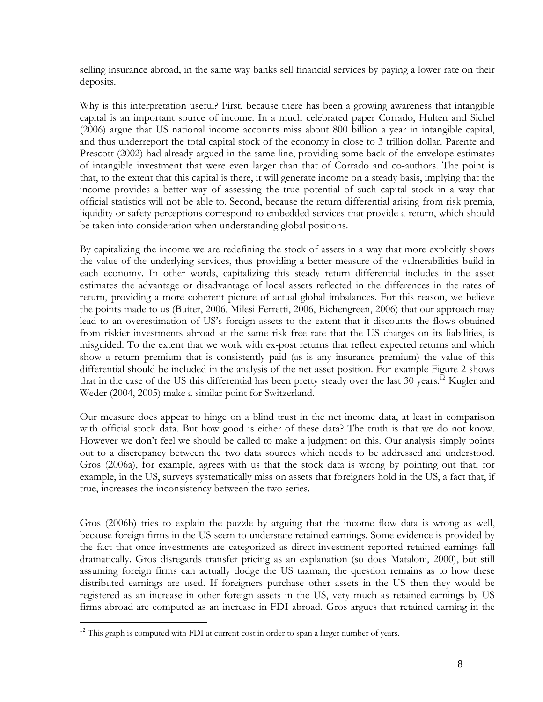selling insurance abroad, in the same way banks sell financial services by paying a lower rate on their deposits.

Why is this interpretation useful? First, because there has been a growing awareness that intangible capital is an important source of income. In a much celebrated paper Corrado, Hulten and Sichel (2006) argue that US national income accounts miss about 800 billion a year in intangible capital, and thus underreport the total capital stock of the economy in close to 3 trillion dollar. Parente and Prescott (2002) had already argued in the same line, providing some back of the envelope estimates of intangible investment that were even larger than that of Corrado and co-authors. The point is that, to the extent that this capital is there, it will generate income on a steady basis, implying that the income provides a better way of assessing the true potential of such capital stock in a way that official statistics will not be able to. Second, because the return differential arising from risk premia, liquidity or safety perceptions correspond to embedded services that provide a return, which should be taken into consideration when understanding global positions.

By capitalizing the income we are redefining the stock of assets in a way that more explicitly shows the value of the underlying services, thus providing a better measure of the vulnerabilities build in each economy. In other words, capitalizing this steady return differential includes in the asset estimates the advantage or disadvantage of local assets reflected in the differences in the rates of return, providing a more coherent picture of actual global imbalances. For this reason, we believe the points made to us (Buiter, 2006, Milesi Ferretti, 2006, Eichengreen, 2006) that our approach may lead to an overestimation of US's foreign assets to the extent that it discounts the flows obtained from riskier investments abroad at the same risk free rate that the US charges on its liabilities, is misguided. To the extent that we work with ex-post returns that reflect expected returns and which show a return premium that is consistently paid (as is any insurance premium) the value of this differential should be included in the analysis of the net asset position. For example Figure 2 shows that in the case of the US this differential has been pretty steady over the last 30 years.<sup>12</sup> Kugler and Weder (2004, 2005) make a similar point for Switzerland.

Our measure does appear to hinge on a blind trust in the net income data, at least in comparison with official stock data. But how good is either of these data? The truth is that we do not know. However we don't feel we should be called to make a judgment on this. Our analysis simply points out to a discrepancy between the two data sources which needs to be addressed and understood. Gros (2006a), for example, agrees with us that the stock data is wrong by pointing out that, for example, in the US, surveys systematically miss on assets that foreigners hold in the US, a fact that, if true, increases the inconsistency between the two series.

Gros (2006b) tries to explain the puzzle by arguing that the income flow data is wrong as well, because foreign firms in the US seem to understate retained earnings. Some evidence is provided by the fact that once investments are categorized as direct investment reported retained earnings fall dramatically. Gros disregards transfer pricing as an explanation (so does Mataloni, 2000), but still assuming foreign firms can actually dodge the US taxman, the question remains as to how these distributed earnings are used. If foreigners purchase other assets in the US then they would be registered as an increase in other foreign assets in the US, very much as retained earnings by US firms abroad are computed as an increase in FDI abroad. Gros argues that retained earning in the

<span id="page-9-0"></span><sup>&</sup>lt;sup>12</sup> This graph is computed with FDI at current cost in order to span a larger number of years.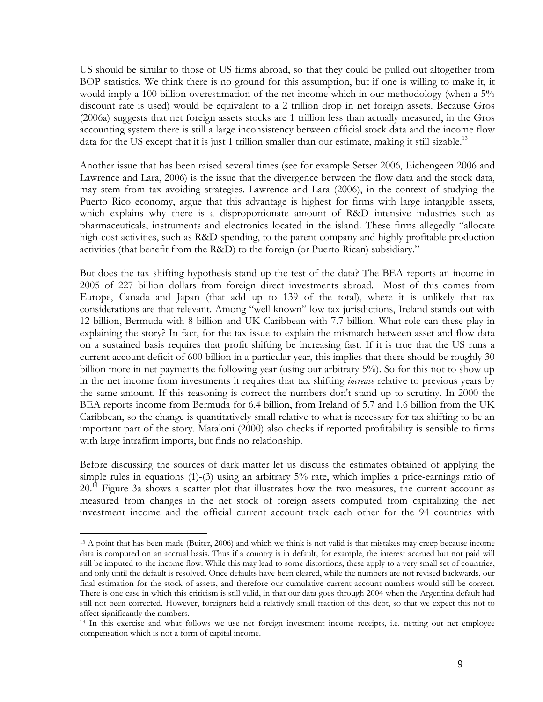US should be similar to those of US firms abroad, so that they could be pulled out altogether from BOP statistics. We think there is no ground for this assumption, but if one is willing to make it, it would imply a 100 billion overestimation of the net income which in our methodology (when a 5% discount rate is used) would be equivalent to a 2 trillion drop in net foreign assets. Because Gros (2006a) suggests that net foreign assets stocks are 1 trillion less than actually measured, in the Gros accounting system there is still a large inconsistency between official stock data and the income flow data for the US except that it is just 1 trillion smaller than our estimate, making it still sizable[.](#page-10-0)<sup>13</sup>

Another issue that has been raised several times (see for example Setser 2006, Eichengeen 2006 and Lawrence and Lara, 2006) is the issue that the divergence between the flow data and the stock data, may stem from tax avoiding strategies. Lawrence and Lara (2006), in the context of studying the Puerto Rico economy, argue that this advantage is highest for firms with large intangible assets, which explains why there is a disproportionate amount of R&D intensive industries such as pharmaceuticals, instruments and electronics located in the island. These firms allegedly "allocate high-cost activities, such as R&D spending, to the parent company and highly profitable production activities (that benefit from the R&D) to the foreign (or Puerto Rican) subsidiary."

But does the tax shifting hypothesis stand up the test of the data? The BEA reports an income in 2005 of 227 billion dollars from foreign direct investments abroad. Most of this comes from Europe, Canada and Japan (that add up to 139 of the total), where it is unlikely that tax considerations are that relevant. Among "well known" low tax jurisdictions, Ireland stands out with 12 billion, Bermuda with 8 billion and UK Caribbean with 7.7 billion. What role can these play in explaining the story? In fact, for the tax issue to explain the mismatch between asset and flow data on a sustained basis requires that profit shifting be increasing fast. If it is true that the US runs a current account deficit of 600 billion in a particular year, this implies that there should be roughly 30 billion more in net payments the following year (using our arbitrary 5%). So for this not to show up in the net income from investments it requires that tax shifting *increase* relative to previous years by the same amount. If this reasoning is correct the numbers don't stand up to scrutiny. In 2000 the BEA reports income from Bermuda for 6.4 billion, from Ireland of 5.7 and 1.6 billion from the UK Caribbean, so the change is quantitatively small relative to what is necessary for tax shifting to be an important part of the story. Mataloni (2000) also checks if reported profitability is sensible to firms with large intrafirm imports, but finds no relationship.

Before discussing the sources of dark matter let us discuss the estimates obtained of applying the simple rules in equations (1)-(3) using an arbitrary 5% rate, which implies a price-earnings ratio of  $20<sup>14</sup>$  Figure 3a shows a scatter plot that illustrates how the two measures, the current account as measured from changes in the net stock of foreign assets computed from capitalizing the net investment income and the official current account track each other for the 94 countries with

1

<span id="page-10-0"></span><sup>&</sup>lt;sup>13</sup> A point that has been made (Buiter, 2006) and which we think is not valid is that mistakes may creep because income data is computed on an accrual basis. Thus if a country is in default, for example, the interest accrued but not paid will still be imputed to the income flow. While this may lead to some distortions, these apply to a very small set of countries, and only until the default is resolved. Once defaults have been cleared, while the numbers are not revised backwards, our final estimation for the stock of assets, and therefore our cumulative current account numbers would still be correct. There is one case in which this criticism is still valid, in that our data goes through 2004 when the Argentina default had still not been corrected. However, foreigners held a relatively small fraction of this debt, so that we expect this not to affect significantly the numbers.

<span id="page-10-1"></span><sup>&</sup>lt;sup>14</sup> In this exercise and what follows we use net foreign investment income receipts, i.e. netting out net employee compensation which is not a form of capital income.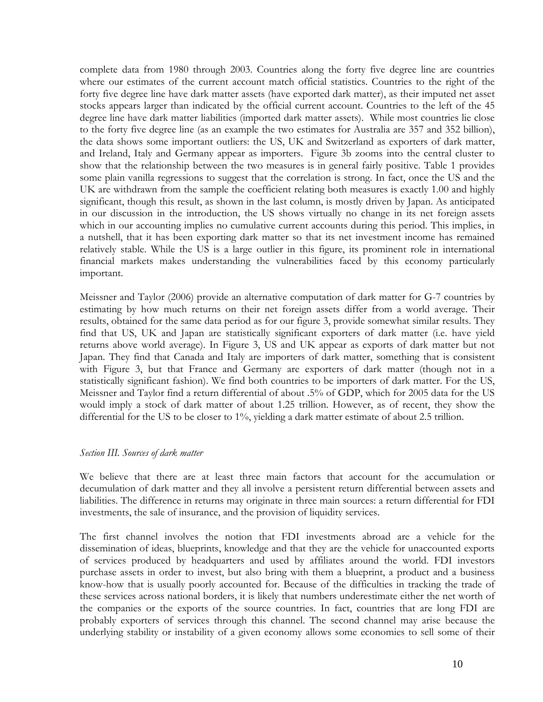complete data from 1980 through 2003. Countries along the forty five degree line are countries where our estimates of the current account match official statistics. Countries to the right of the forty five degree line have dark matter assets (have exported dark matter), as their imputed net asset stocks appears larger than indicated by the official current account. Countries to the left of the 45 degree line have dark matter liabilities (imported dark matter assets). While most countries lie close to the forty five degree line (as an example the two estimates for Australia are 357 and 352 billion), the data shows some important outliers: the US, UK and Switzerland as exporters of dark matter, and Ireland, Italy and Germany appear as importers. Figure 3b zooms into the central cluster to show that the relationship between the two measures is in general fairly positive. Table 1 provides some plain vanilla regressions to suggest that the correlation is strong. In fact, once the US and the UK are withdrawn from the sample the coefficient relating both measures is exactly 1.00 and highly significant, though this result, as shown in the last column, is mostly driven by Japan. As anticipated in our discussion in the introduction, the US shows virtually no change in its net foreign assets which in our accounting implies no cumulative current accounts during this period. This implies, in a nutshell, that it has been exporting dark matter so that its net investment income has remained relatively stable. While the US is a large outlier in this figure, its prominent role in international financial markets makes understanding the vulnerabilities faced by this economy particularly important.

Meissner and Taylor (2006) provide an alternative computation of dark matter for G-7 countries by estimating by how much returns on their net foreign assets differ from a world average. Their results, obtained for the same data period as for our figure 3, provide somewhat similar results. They find that US, UK and Japan are statistically significant exporters of dark matter (i.e. have yield returns above world average). In Figure 3, US and UK appear as exports of dark matter but not Japan. They find that Canada and Italy are importers of dark matter, something that is consistent with Figure 3, but that France and Germany are exporters of dark matter (though not in a statistically significant fashion). We find both countries to be importers of dark matter. For the US, Meissner and Taylor find a return differential of about .5% of GDP, which for 2005 data for the US would imply a stock of dark matter of about 1.25 trillion. However, as of recent, they show the differential for the US to be closer to 1%, yielding a dark matter estimate of about 2.5 trillion.

#### *Section III. Sources of dark matter*

We believe that there are at least three main factors that account for the accumulation or decumulation of dark matter and they all involve a persistent return differential between assets and liabilities. The difference in returns may originate in three main sources: a return differential for FDI investments, the sale of insurance, and the provision of liquidity services.

The first channel involves the notion that FDI investments abroad are a vehicle for the dissemination of ideas, blueprints, knowledge and that they are the vehicle for unaccounted exports of services produced by headquarters and used by affiliates around the world. FDI investors purchase assets in order to invest, but also bring with them a blueprint, a product and a business know-how that is usually poorly accounted for. Because of the difficulties in tracking the trade of these services across national borders, it is likely that numbers underestimate either the net worth of the companies or the exports of the source countries. In fact, countries that are long FDI are probably exporters of services through this channel. The second channel may arise because the underlying stability or instability of a given economy allows some economies to sell some of their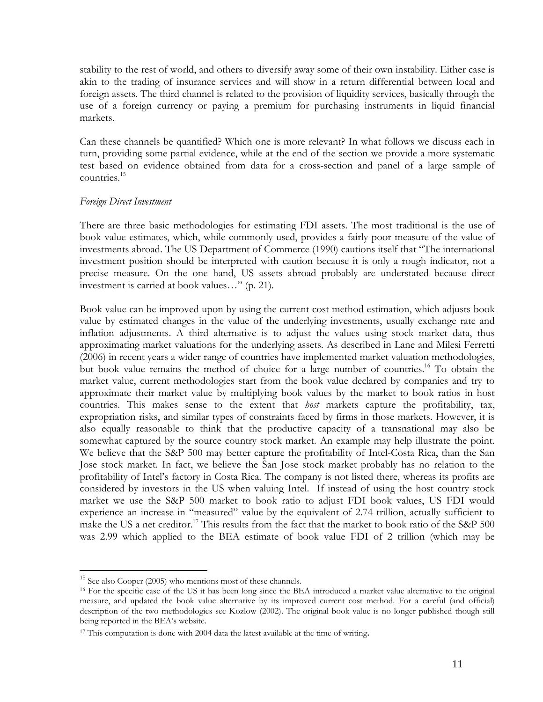stability to the rest of world, and others to diversify away some of their own instability. Either case is akin to the trading of insurance services and will show in a return differential between local and foreign assets. The third channel is related to the provision of liquidity services, basically through the use of a foreign currency or paying a premium for purchasing instruments in liquid financial markets.

Can these channels be quantified? Which one is more relevant? In what follows we discuss each in turn, providing some partial evidence, while at the end of the section we provide a more systematic test based on evidence obtained from data for a cross-section and panel of a large sample of countries.[15](#page-12-0) 

## *Foreign Direct Investment*

There are three basic methodologies for estimating FDI assets. The most traditional is the use of book value estimates, which, while commonly used, provides a fairly poor measure of the value of investments abroad. The US Department of Commerce (1990) cautions itself that "The international investment position should be interpreted with caution because it is only a rough indicator, not a precise measure. On the one hand, US assets abroad probably are understated because direct investment is carried at book values…" (p. 21).

Book value can be improved upon by using the current cost method estimation, which adjusts book value by estimated changes in the value of the underlying investments, usually exchange rate and inflation adjustments. A third alternative is to adjust the values using stock market data, thus approximating market valuations for the underlying assets. As described in Lane and Milesi Ferretti (2006) in recent years a wider range of countries have implemented market valuation methodologies, but book value remains the method of choice for a large number of countries.<sup>16</sup> To obtain the market value, current methodologies start from the book value declared by companies and try to approximate their market value by multiplying book values by the market to book ratios in host countries. This makes sense to the extent that *host* markets capture the profitability, tax, expropriation risks, and similar types of constraints faced by firms in those markets. However, it is also equally reasonable to think that the productive capacity of a transnational may also be somewhat captured by the source country stock market. An example may help illustrate the point. We believe that the S&P 500 may better capture the profitability of Intel-Costa Rica, than the San Jose stock market. In fact, we believe the San Jose stock market probably has no relation to the profitability of Intel's factory in Costa Rica. The company is not listed there, whereas its profits are considered by investors in the US when valuing Intel. If instead of using the host country stock market we use the S&P 500 market to book ratio to adjust FDI book values, US FDI would experience an increase in "measured" value by the equivalent of 2.74 trillion, actually sufficient to make the US a net creditor.<sup>17</sup> This results from the fact that the market to book ratio of the S&P 500 was 2.99 which applied to the BEA estimate of book value FDI of 2 trillion (which may be

<u>.</u>

<span id="page-12-1"></span><span id="page-12-0"></span>

<sup>&</sup>lt;sup>15</sup> See also Cooper (2005) who mentions most of these channels.<br><sup>16</sup> For the specific case of the US it has been long since the BEA introduced a market value alternative to the original measure, and updated the book value alternative by its improved current cost method. For a careful (and official) description of the two methodologies see Kozlow (2002). The original book value is no longer published though still being reported in the BEA's website.

<span id="page-12-2"></span><sup>&</sup>lt;sup>17</sup> This computation is done with 2004 data the latest available at the time of writing.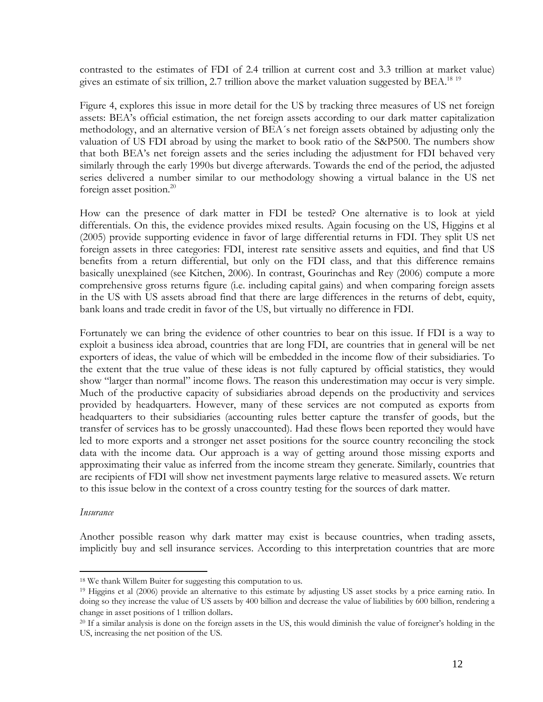contrasted to the estimates of FDI of 2.4 trillion at current cost and 3.3 trillion at market value) gives an estimate of six trillion, 2.7 trillion above the market valuation suggested by BEA.<sup>18 [19](#page-13-1)</sup>

Figure 4, explores this issue in more detail for the US by tracking three measures of US net foreign assets: BEA's official estimation, the net foreign assets according to our dark matter capitalization methodology, and an alternative version of BEA´s net foreign assets obtained by adjusting only the valuation of US FDI abroad by using the market to book ratio of the S&P500. The numbers show that both BEA's net foreign assets and the series including the adjustment for FDI behaved very similarly through the early 1990s but diverge afterwards. Towards the end of the period, the adjusted series delivered a number similar to our methodology showing a virtual balance in the US net foreign asset position. $^{20}$ 

How can the presence of dark matter in FDI be tested? One alternative is to look at yield differentials. On this, the evidence provides mixed results. Again focusing on the US, Higgins et al (2005) provide supporting evidence in favor of large differential returns in FDI. They split US net foreign assets in three categories: FDI, interest rate sensitive assets and equities, and find that US benefits from a return differential, but only on the FDI class, and that this difference remains basically unexplained (see Kitchen, 2006). In contrast, Gourinchas and Rey (2006) compute a more comprehensive gross returns figure (i.e. including capital gains) and when comparing foreign assets in the US with US assets abroad find that there are large differences in the returns of debt, equity, bank loans and trade credit in favor of the US, but virtually no difference in FDI.

Fortunately we can bring the evidence of other countries to bear on this issue. If FDI is a way to exploit a business idea abroad, countries that are long FDI, are countries that in general will be net exporters of ideas, the value of which will be embedded in the income flow of their subsidiaries. To the extent that the true value of these ideas is not fully captured by official statistics, they would show "larger than normal" income flows. The reason this underestimation may occur is very simple. Much of the productive capacity of subsidiaries abroad depends on the productivity and services provided by headquarters. However, many of these services are not computed as exports from headquarters to their subsidiaries (accounting rules better capture the transfer of goods, but the transfer of services has to be grossly unaccounted). Had these flows been reported they would have led to more exports and a stronger net asset positions for the source country reconciling the stock data with the income data. Our approach is a way of getting around those missing exports and approximating their value as inferred from the income stream they generate. Similarly, countries that are recipients of FDI will show net investment payments large relative to measured assets. We return to this issue below in the context of a cross country testing for the sources of dark matter.

#### *Insurance*

Another possible reason why dark matter may exist is because countries, when trading assets, implicitly buy and sell insurance services. According to this interpretation countries that are more

 $\overline{a}$ 

<span id="page-13-1"></span><span id="page-13-0"></span><sup>&</sup>lt;sup>18</sup> We thank Willem Buiter for suggesting this computation to us.<br><sup>19</sup> Higgins et al (2006) provide an alternative to this estimate by adjusting US asset stocks by a price earning ratio. In doing so they increase the value of US assets by 400 billion and decrease the value of liabilities by 600 billion, rendering a

<span id="page-13-2"></span>change in asset positions of 1 trillion dollars.<br><sup>20</sup> If a similar analysis is done on the foreign assets in the US, this would diminish the value of foreigner's holding in the US, increasing the net position of the US.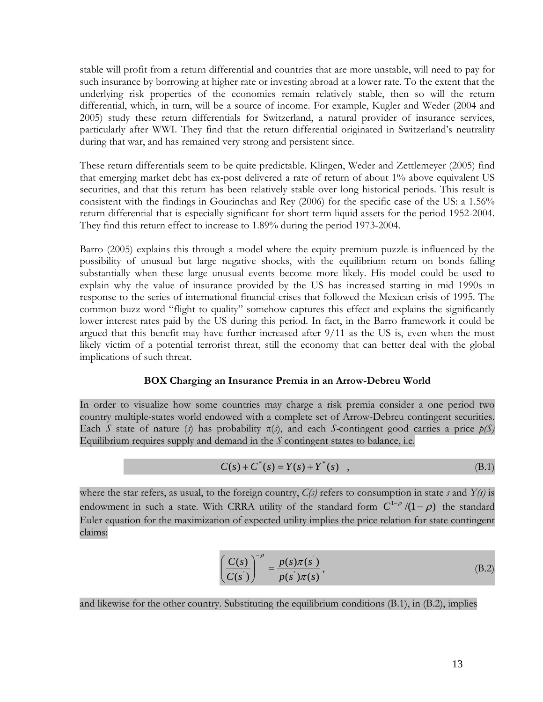stable will profit from a return differential and countries that are more unstable, will need to pay for such insurance by borrowing at higher rate or investing abroad at a lower rate. To the extent that the underlying risk properties of the economies remain relatively stable, then so will the return differential, which, in turn, will be a source of income. For example, Kugler and Weder (2004 and 2005) study these return differentials for Switzerland, a natural provider of insurance services, particularly after WWI. They find that the return differential originated in Switzerland's neutrality during that war, and has remained very strong and persistent since.

These return differentials seem to be quite predictable. Klingen, Weder and Zettlemeyer (2005) find that emerging market debt has ex-post delivered a rate of return of about 1% above equivalent US securities, and that this return has been relatively stable over long historical periods. This result is consistent with the findings in Gourinchas and Rey (2006) for the specific case of the US: a 1.56% return differential that is especially significant for short term liquid assets for the period 1952-2004. They find this return effect to increase to 1.89% during the period 1973-2004.

Barro (2005) explains this through a model where the equity premium puzzle is influenced by the possibility of unusual but large negative shocks, with the equilibrium return on bonds falling substantially when these large unusual events become more likely. His model could be used to explain why the value of insurance provided by the US has increased starting in mid 1990s in response to the series of international financial crises that followed the Mexican crisis of 1995. The common buzz word "flight to quality" somehow captures this effect and explains the significantly lower interest rates paid by the US during this period. In fact, in the Barro framework it could be argued that this benefit may have further increased after 9/11 as the US is, even when the most likely victim of a potential terrorist threat, still the economy that can better deal with the global implications of such threat.

## **BOX Charging an Insurance Premia in an Arrow-Debreu World**

In order to visualize how some countries may charge a risk premia consider a one period two country multiple-states world endowed with a complete set of Arrow-Debreu contingent securities. Each *S* state of nature (*s*) has probability  $\pi(s)$ , and each *S*-contingent good carries a price  $p(S)$ Equilibrium requires supply and demand in the  $S$  contingent states to balance, i.e.

$$
C(s) + C^*(s) = Y(s) + Y^*(s) \quad , \tag{B.1}
$$

where the star refers, as usual, to the foreign country, *C(s)* refers to consumption in state *s* and *Y(s)* is endowment in such a state. With CRRA utility of the standard form  $C^{1-\rho}/(1-\rho)$  the standard Euler equation for the maximization of expected utility implies the price relation for state contingent claims:

$$
\left(\frac{C(s)}{C(s)}\right)^{-\rho} = \frac{p(s)\pi(s)}{p(s')\pi(s)},
$$
\n(B.2)

and likewise for the other country. Substituting the equilibrium conditions (B.1), in (B.2), implies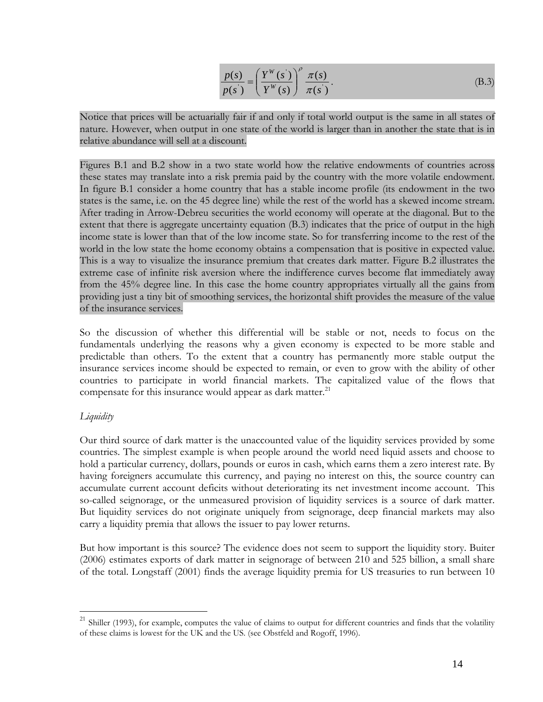| $\frac{p(s)}{p(s)} = \left(\frac{Y^{W}(s)}{Y^{W}(s)}\right)^{\rho} \frac{\pi(s)}{\pi(s)}.$ |  | (B.3) |
|--------------------------------------------------------------------------------------------|--|-------|
|                                                                                            |  |       |

Notice that prices will be actuarially fair if and only if total world output is the same in all states of nature. However, when output in one state of the world is larger than in another the state that is in relative abundance will sell at a discount.

Figures B.1 and B.2 show in a two state world how the relative endowments of countries across these states may translate into a risk premia paid by the country with the more volatile endowment. In figure B.1 consider a home country that has a stable income profile (its endowment in the two states is the same, i.e. on the 45 degree line) while the rest of the world has a skewed income stream. After trading in Arrow-Debreu securities the world economy will operate at the diagonal. But to the extent that there is aggregate uncertainty equation (B.3) indicates that the price of output in the high income state is lower than that of the low income state. So for transferring income to the rest of the world in the low state the home economy obtains a compensation that is positive in expected value. This is a way to visualize the insurance premium that creates dark matter. Figure B.2 illustrates the extreme case of infinite risk aversion where the indifference curves become flat immediately away from the 45% degree line. In this case the home country appropriates virtually all the gains from providing just a tiny bit of smoothing services, the horizontal shift provides the measure of the value of the insurance services.

So the discussion of whether this differential will be stable or not, needs to focus on the fundamentals underlying the reasons why a given economy is expected to be more stable and predictable than others. To the extent that a country has permanently more stable output the insurance services income should be expected to remain, or even to grow with the ability of other countries to participate in world financial markets. The capitalized value of the flows that compensate for this insurance would appear as dark matter.<sup>21</sup>

#### *Liquidity*

 $\overline{a}$ 

Our third source of dark matter is the unaccounted value of the liquidity services provided by some countries. The simplest example is when people around the world need liquid assets and choose to hold a particular currency, dollars, pounds or euros in cash, which earns them a zero interest rate. By having foreigners accumulate this currency, and paying no interest on this, the source country can accumulate current account deficits without deteriorating its net investment income account. This so-called seignorage, or the unmeasured provision of liquidity services is a source of dark matter. But liquidity services do not originate uniquely from seignorage, deep financial markets may also carry a liquidity premia that allows the issuer to pay lower returns.

But how important is this source? The evidence does not seem to support the liquidity story. Buiter (2006) estimates exports of dark matter in seignorage of between 210 and 525 billion, a small share of the total. Longstaff (2001) finds the average liquidity premia for US treasuries to run between 10

<span id="page-15-0"></span><sup>&</sup>lt;sup>21</sup> Shiller (1993), for example, computes the value of claims to output for different countries and finds that the volatility of these claims is lowest for the UK and the US. (see Obstfeld and Rogoff, 1996).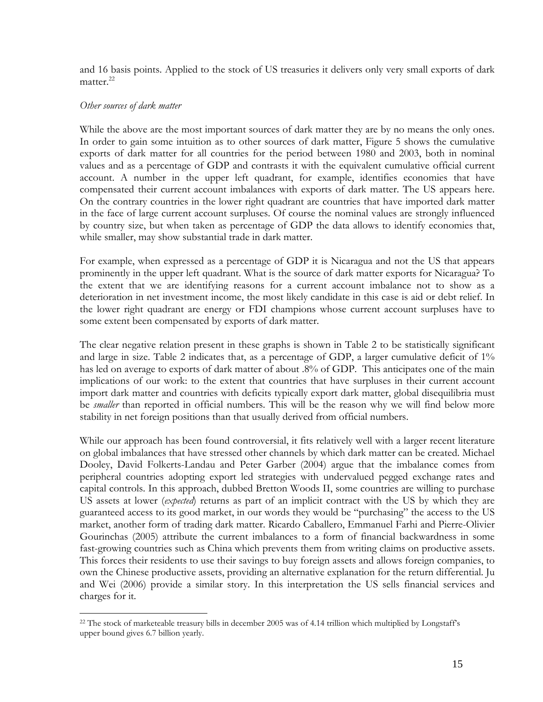and 16 basis points. Applied to the stock of US treasuries it delivers only very small exports of dark matter.<sup>22</sup>

## *Other sources of dark matter*

 $\overline{a}$ 

While the above are the most important sources of dark matter they are by no means the only ones. In order to gain some intuition as to other sources of dark matter, Figure 5 shows the cumulative exports of dark matter for all countries for the period between 1980 and 2003, both in nominal values and as a percentage of GDP and contrasts it with the equivalent cumulative official current account. A number in the upper left quadrant, for example, identifies economies that have compensated their current account imbalances with exports of dark matter. The US appears here. On the contrary countries in the lower right quadrant are countries that have imported dark matter in the face of large current account surpluses. Of course the nominal values are strongly influenced by country size, but when taken as percentage of GDP the data allows to identify economies that, while smaller, may show substantial trade in dark matter.

For example, when expressed as a percentage of GDP it is Nicaragua and not the US that appears prominently in the upper left quadrant. What is the source of dark matter exports for Nicaragua? To the extent that we are identifying reasons for a current account imbalance not to show as a deterioration in net investment income, the most likely candidate in this case is aid or debt relief. In the lower right quadrant are energy or FDI champions whose current account surpluses have to some extent been compensated by exports of dark matter.

The clear negative relation present in these graphs is shown in Table 2 to be statistically significant and large in size. Table 2 indicates that, as a percentage of GDP, a larger cumulative deficit of 1% has led on average to exports of dark matter of about .8% of GDP. This anticipates one of the main implications of our work: to the extent that countries that have surpluses in their current account import dark matter and countries with deficits typically export dark matter, global disequilibria must be *smaller* than reported in official numbers. This will be the reason why we will find below more stability in net foreign positions than that usually derived from official numbers.

While our approach has been found controversial, it fits relatively well with a larger recent literature on global imbalances that have stressed other channels by which dark matter can be created. Michael Dooley, David Folkerts-Landau and Peter Garber (2004) argue that the imbalance comes from peripheral countries adopting export led strategies with undervalued pegged exchange rates and capital controls. In this approach, dubbed Bretton Woods II, some countries are willing to purchase US assets at lower (*expected*) returns as part of an implicit contract with the US by which they are guaranteed access to its good market, in our words they would be "purchasing" the access to the US market, another form of trading dark matter. Ricardo Caballero, Emmanuel Farhi and Pierre-Olivier Gourinchas (2005) attribute the current imbalances to a form of financial backwardness in some fast-growing countries such as China which prevents them from writing claims on productive assets. This forces their residents to use their savings to buy foreign assets and allows foreign companies, to own the Chinese productive assets, providing an alternative explanation for the return differential. Ju and Wei (2006) provide a similar story. In this interpretation the US sells financial services and charges for it.

<span id="page-16-0"></span><sup>&</sup>lt;sup>22</sup> The stock of marketeable treasury bills in december 2005 was of 4.14 trillion which multiplied by Longstaff's upper bound gives 6.7 billion yearly.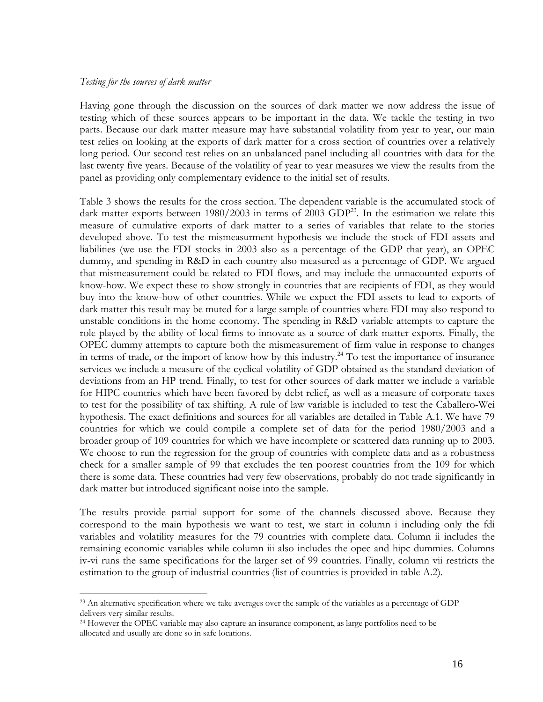#### *Testing for the sources of dark matter*

1

Having gone through the discussion on the sources of dark matter we now address the issue of testing which of these sources appears to be important in the data. We tackle the testing in two parts. Because our dark matter measure may have substantial volatility from year to year, our main test relies on looking at the exports of dark matter for a cross section of countries over a relatively long period. Our second test relies on an unbalanced panel including all countries with data for the last twenty five years. Because of the volatility of year to year measures we view the results from the panel as providing only complementary evidence to the initial set of results.

Table 3 shows the results for the cross section. The dependent variable is the accumulated stock of dark matter exports between  $1980/2003$  in terms of  $2003$  GDP<sup>23</sup>. In the estimation we relate this measure of cumulative exports of dark matter to a series of variables that relate to the stories developed above. To test the mismeasurment hypothesis we include the stock of FDI assets and liabilities (we use the FDI stocks in 2003 also as a percentage of the GDP that year), an OPEC dummy, and spending in R&D in each country also measured as a percentage of GDP. We argued that mismeasurement could be related to FDI flows, and may include the unnacounted exports of know-how. We expect these to show strongly in countries that are recipients of FDI, as they would buy into the know-how of other countries. While we expect the FDI assets to lead to exports of dark matter this result may be muted for a large sample of countries where FDI may also respond to unstable conditions in the home economy. The spending in R&D variable attempts to capture the role played by the ability of local firms to innovate as a source of dark matter exports. Finally, the OPEC dummy attempts to capture both the mismeasurement of firm value in response to changes in terms of trade, or the import of know how by this industry.<sup>24</sup> To test the importance of insurance services we include a measure of the cyclical volatility of GDP obtained as the standard deviation of deviations from an HP trend. Finally, to test for other sources of dark matter we include a variable for HIPC countries which have been favored by debt relief, as well as a measure of corporate taxes to test for the possibility of tax shifting. A rule of law variable is included to test the Caballero-Wei hypothesis. The exact definitions and sources for all variables are detailed in Table A.1. We have 79 countries for which we could compile a complete set of data for the period 1980/2003 and a broader group of 109 countries for which we have incomplete or scattered data running up to 2003. We choose to run the regression for the group of countries with complete data and as a robustness check for a smaller sample of 99 that excludes the ten poorest countries from the 109 for which there is some data. These countries had very few observations, probably do not trade significantly in dark matter but introduced significant noise into the sample.

The results provide partial support for some of the channels discussed above. Because they correspond to the main hypothesis we want to test, we start in column i including only the fdi variables and volatility measures for the 79 countries with complete data. Column ii includes the remaining economic variables while column iii also includes the opec and hipc dummies. Columns iv-vi runs the same specifications for the larger set of 99 countries. Finally, column vii restricts the estimation to the group of industrial countries (list of countries is provided in table A.2).

<span id="page-17-0"></span><sup>&</sup>lt;sup>23</sup> An alternative specification where we take averages over the sample of the variables as a percentage of GDP delivers very similar results.<br><sup>24</sup> However the OPEC variable may also capture an insurance component, as large portfolios need to be

<span id="page-17-1"></span>allocated and usually are done so in safe locations.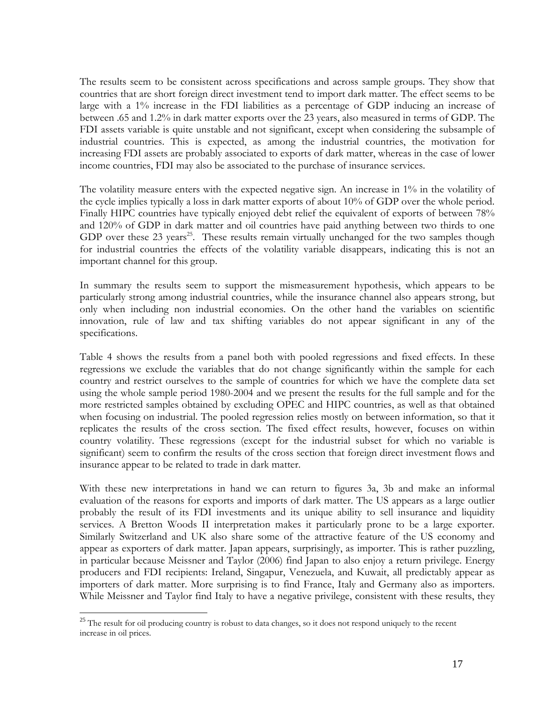The results seem to be consistent across specifications and across sample groups. They show that countries that are short foreign direct investment tend to import dark matter. The effect seems to be large with a 1% increase in the FDI liabilities as a percentage of GDP inducing an increase of between .65 and 1.2% in dark matter exports over the 23 years, also measured in terms of GDP. The FDI assets variable is quite unstable and not significant, except when considering the subsample of industrial countries. This is expected, as among the industrial countries, the motivation for increasing FDI assets are probably associated to exports of dark matter, whereas in the case of lower income countries, FDI may also be associated to the purchase of insurance services.

The volatility measure enters with the expected negative sign. An increase in 1% in the volatility of the cycle implies typically a loss in dark matter exports of about 10% of GDP over the whole period. Finally HIPC countries have typically enjoyed debt relief the equivalent of exports of between 78% and 120% of GDP in dark matter and oil countries have paid anything between two thirds to one GDP over these  $23 \text{ years}^{25}$ . These results remain virtually unchanged for the two samples though for industrial countries the effects of the volatility variable disappears, indicating this is not an important channel for this group.

In summary the results seem to support the mismeasurement hypothesis, which appears to be particularly strong among industrial countries, while the insurance channel also appears strong, but only when including non industrial economies. On the other hand the variables on scientific innovation, rule of law and tax shifting variables do not appear significant in any of the specifications.

Table 4 shows the results from a panel both with pooled regressions and fixed effects. In these regressions we exclude the variables that do not change significantly within the sample for each country and restrict ourselves to the sample of countries for which we have the complete data set using the whole sample period 1980-2004 and we present the results for the full sample and for the more restricted samples obtained by excluding OPEC and HIPC countries, as well as that obtained when focusing on industrial. The pooled regression relies mostly on between information, so that it replicates the results of the cross section. The fixed effect results, however, focuses on within country volatility. These regressions (except for the industrial subset for which no variable is significant) seem to confirm the results of the cross section that foreign direct investment flows and insurance appear to be related to trade in dark matter.

With these new interpretations in hand we can return to figures 3a, 3b and make an informal evaluation of the reasons for exports and imports of dark matter. The US appears as a large outlier probably the result of its FDI investments and its unique ability to sell insurance and liquidity services. A Bretton Woods II interpretation makes it particularly prone to be a large exporter. Similarly Switzerland and UK also share some of the attractive feature of the US economy and appear as exporters of dark matter. Japan appears, surprisingly, as importer. This is rather puzzling, in particular because Meissner and Taylor (2006) find Japan to also enjoy a return privilege. Energy producers and FDI recipients: Ireland, Singapur, Venezuela, and Kuwait, all predictably appear as importers of dark matter. More surprising is to find France, Italy and Germany also as importers. While Meissner and Taylor find Italy to have a negative privilege, consistent with these results, they

1

<span id="page-18-0"></span><sup>&</sup>lt;sup>25</sup> The result for oil producing country is robust to data changes, so it does not respond uniquely to the recent increase in oil prices.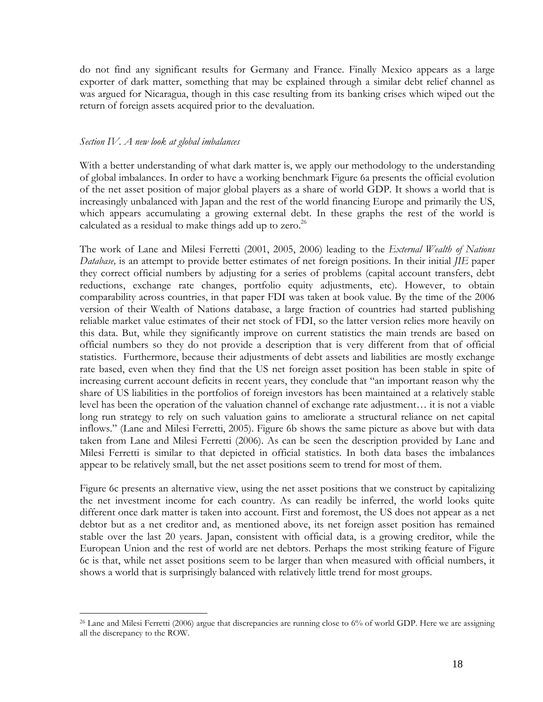do not find any significant results for Germany and France. Finally Mexico appears as a large exporter of dark matter, something that may be explained through a similar debt relief channel as was argued for Nicaragua, though in this case resulting from its banking crises which wiped out the return of foreign assets acquired prior to the devaluation.

## *Section IV. A new look at global imbalances*

With a better understanding of what dark matter is, we apply our methodology to the understanding of global imbalances. In order to have a working benchmark Figure 6a presents the official evolution of the net asset position of major global players as a share of world GDP. It shows a world that is increasingly unbalanced with Japan and the rest of the world financing Europe and primarily the US, which appears accumulating a growing external debt. In these graphs the rest of the world is calculated as a residual to make things add up to zero. $^{26}$ 

The work of Lane and Milesi Ferretti (2001, 2005, 2006) leading to the *External Wealth of Nations Database,* is an attempt to provide better estimates of net foreign positions. In their initial *JIE* paper they correct official numbers by adjusting for a series of problems (capital account transfers, debt reductions, exchange rate changes, portfolio equity adjustments, etc). However, to obtain comparability across countries, in that paper FDI was taken at book value. By the time of the 2006 version of their Wealth of Nations database, a large fraction of countries had started publishing reliable market value estimates of their net stock of FDI, so the latter version relies more heavily on this data. But, while they significantly improve on current statistics the main trends are based on official numbers so they do not provide a description that is very different from that of official statistics. Furthermore, because their adjustments of debt assets and liabilities are mostly exchange rate based, even when they find that the US net foreign asset position has been stable in spite of increasing current account deficits in recent years, they conclude that "an important reason why the share of US liabilities in the portfolios of foreign investors has been maintained at a relatively stable level has been the operation of the valuation channel of exchange rate adjustment… it is not a viable long run strategy to rely on such valuation gains to ameliorate a structural reliance on net capital inflows." (Lane and Milesi Ferretti, 2005). Figure 6b shows the same picture as above but with data taken from Lane and Milesi Ferretti (2006). As can be seen the description provided by Lane and Milesi Ferretti is similar to that depicted in official statistics. In both data bases the imbalances appear to be relatively small, but the net asset positions seem to trend for most of them.

Figure 6c presents an alternative view, using the net asset positions that we construct by capitalizing the net investment income for each country. As can readily be inferred, the world looks quite different once dark matter is taken into account. First and foremost, the US does not appear as a net debtor but as a net creditor and, as mentioned above, its net foreign asset position has remained stable over the last 20 years. Japan, consistent with official data, is a growing creditor, while the European Union and the rest of world are net debtors. Perhaps the most striking feature of Figure 6c is that, while net asset positions seem to be larger than when measured with official numbers, it shows a world that is surprisingly balanced with relatively little trend for most groups.

<span id="page-19-0"></span> $\overline{a}$ 26 Lane and Milesi Ferretti (2006) argue that discrepancies are running close to 6% of world GDP. Here we are assigning all the discrepancy to the ROW.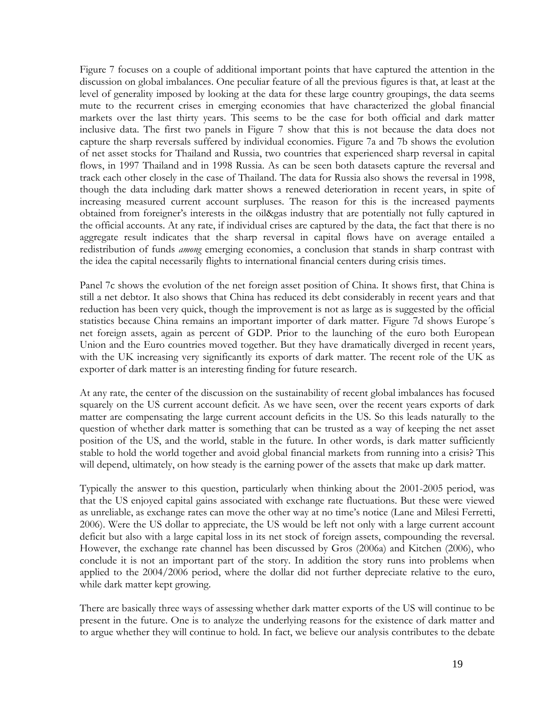Figure 7 focuses on a couple of additional important points that have captured the attention in the discussion on global imbalances. One peculiar feature of all the previous figures is that, at least at the level of generality imposed by looking at the data for these large country groupings, the data seems mute to the recurrent crises in emerging economies that have characterized the global financial markets over the last thirty years. This seems to be the case for both official and dark matter inclusive data. The first two panels in Figure 7 show that this is not because the data does not capture the sharp reversals suffered by individual economies. Figure 7a and 7b shows the evolution of net asset stocks for Thailand and Russia, two countries that experienced sharp reversal in capital flows, in 1997 Thailand and in 1998 Russia. As can be seen both datasets capture the reversal and track each other closely in the case of Thailand. The data for Russia also shows the reversal in 1998, though the data including dark matter shows a renewed deterioration in recent years, in spite of increasing measured current account surpluses. The reason for this is the increased payments obtained from foreigner's interests in the oil&gas industry that are potentially not fully captured in the official accounts. At any rate, if individual crises are captured by the data, the fact that there is no aggregate result indicates that the sharp reversal in capital flows have on average entailed a redistribution of funds *among* emerging economies, a conclusion that stands in sharp contrast with the idea the capital necessarily flights to international financial centers during crisis times.

Panel 7c shows the evolution of the net foreign asset position of China. It shows first, that China is still a net debtor. It also shows that China has reduced its debt considerably in recent years and that reduction has been very quick, though the improvement is not as large as is suggested by the official statistics because China remains an important importer of dark matter. Figure 7d shows Europe´s net foreign assets, again as percent of GDP. Prior to the launching of the euro both European Union and the Euro countries moved together. But they have dramatically diverged in recent years, with the UK increasing very significantly its exports of dark matter. The recent role of the UK as exporter of dark matter is an interesting finding for future research.

At any rate, the center of the discussion on the sustainability of recent global imbalances has focused squarely on the US current account deficit. As we have seen, over the recent years exports of dark matter are compensating the large current account deficits in the US. So this leads naturally to the question of whether dark matter is something that can be trusted as a way of keeping the net asset position of the US, and the world, stable in the future. In other words, is dark matter sufficiently stable to hold the world together and avoid global financial markets from running into a crisis? This will depend, ultimately, on how steady is the earning power of the assets that make up dark matter.

Typically the answer to this question, particularly when thinking about the 2001-2005 period, was that the US enjoyed capital gains associated with exchange rate fluctuations. But these were viewed as unreliable, as exchange rates can move the other way at no time's notice (Lane and Milesi Ferretti, 2006). Were the US dollar to appreciate, the US would be left not only with a large current account deficit but also with a large capital loss in its net stock of foreign assets, compounding the reversal. However, the exchange rate channel has been discussed by Gros (2006a) and Kitchen (2006), who conclude it is not an important part of the story. In addition the story runs into problems when applied to the 2004/2006 period, where the dollar did not further depreciate relative to the euro, while dark matter kept growing.

There are basically three ways of assessing whether dark matter exports of the US will continue to be present in the future. One is to analyze the underlying reasons for the existence of dark matter and to argue whether they will continue to hold. In fact, we believe our analysis contributes to the debate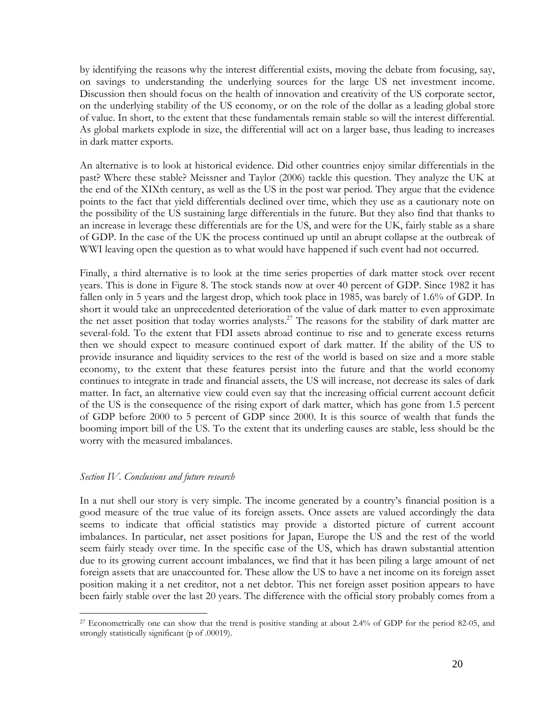by identifying the reasons why the interest differential exists, moving the debate from focusing, say, on savings to understanding the underlying sources for the large US net investment income. Discussion then should focus on the health of innovation and creativity of the US corporate sector, on the underlying stability of the US economy, or on the role of the dollar as a leading global store of value. In short, to the extent that these fundamentals remain stable so will the interest differential. As global markets explode in size, the differential will act on a larger base, thus leading to increases in dark matter exports.

An alternative is to look at historical evidence. Did other countries enjoy similar differentials in the past? Where these stable? Meissner and Taylor (2006) tackle this question. They analyze the UK at the end of the XIXth century, as well as the US in the post war period. They argue that the evidence points to the fact that yield differentials declined over time, which they use as a cautionary note on the possibility of the US sustaining large differentials in the future. But they also find that thanks to an increase in leverage these differentials are for the US, and were for the UK, fairly stable as a share of GDP. In the case of the UK the process continued up until an abrupt collapse at the outbreak of WWI leaving open the question as to what would have happened if such event had not occurred.

Finally, a third alternative is to look at the time series properties of dark matter stock over recent years. This is done in Figure 8. The stock stands now at over 40 percent of GDP. Since 1982 it has fallen only in 5 years and the largest drop, which took place in 1985, was barely of 1.6% of GDP. In short it would take an unprecedented deterioration of the value of dark matter to even approximate the net asset position that today worries analysts.<sup>27</sup> The reasons for the stability of dark matter are several-fold. To the extent that FDI assets abroad continue to rise and to generate excess returns then we should expect to measure continued export of dark matter. If the ability of the US to provide insurance and liquidity services to the rest of the world is based on size and a more stable economy, to the extent that these features persist into the future and that the world economy continues to integrate in trade and financial assets, the US will increase, not decrease its sales of dark matter. In fact, an alternative view could even say that the increasing official current account deficit of the US is the consequence of the rising export of dark matter, which has gone from 1.5 percent of GDP before 2000 to 5 percent of GDP since 2000. It is this source of wealth that funds the booming import bill of the US. To the extent that its underling causes are stable, less should be the worry with the measured imbalances.

#### *Section IV. Conclusions and future research*

In a nut shell our story is very simple. The income generated by a country's financial position is a good measure of the true value of its foreign assets. Once assets are valued accordingly the data seems to indicate that official statistics may provide a distorted picture of current account imbalances. In particular, net asset positions for Japan, Europe the US and the rest of the world seem fairly steady over time. In the specific case of the US, which has drawn substantial attention due to its growing current account imbalances, we find that it has been piling a large amount of net foreign assets that are unaccounted for. These allow the US to have a net income on its foreign asset position making it a net creditor, not a net debtor. This net foreign asset position appears to have been fairly stable over the last 20 years. The difference with the official story probably comes from a

<span id="page-21-0"></span> $\overline{a}$ <sup>27</sup> Econometrically one can show that the trend is positive standing at about 2.4% of GDP for the period 82-05, and strongly statistically significant (p of .00019).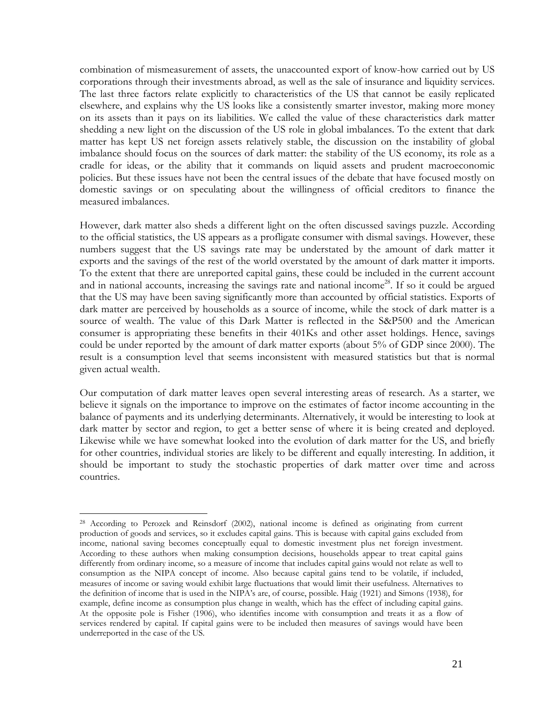combination of mismeasurement of assets, the unaccounted export of know-how carried out by US corporations through their investments abroad, as well as the sale of insurance and liquidity services. The last three factors relate explicitly to characteristics of the US that cannot be easily replicated elsewhere, and explains why the US looks like a consistently smarter investor, making more money on its assets than it pays on its liabilities. We called the value of these characteristics dark matter shedding a new light on the discussion of the US role in global imbalances. To the extent that dark matter has kept US net foreign assets relatively stable, the discussion on the instability of global imbalance should focus on the sources of dark matter: the stability of the US economy, its role as a cradle for ideas, or the ability that it commands on liquid assets and prudent macroeconomic policies. But these issues have not been the central issues of the debate that have focused mostly on domestic savings or on speculating about the willingness of official creditors to finance the measured imbalances.

However, dark matter also sheds a different light on the often discussed savings puzzle. According to the official statistics, the US appears as a profligate consumer with dismal savings. However, these numbers suggest that the US savings rate may be understated by the amount of dark matter it exports and the savings of the rest of the world overstated by the amount of dark matter it imports. To the extent that there are unreported capital gains, these could be included in the current account and in national accounts, increasing the savings rate and national income<sup>28</sup>. If so it could be argued that the US may have been saving significantly more than accounted by official statistics. Exports of dark matter are perceived by households as a source of income, while the stock of dark matter is a source of wealth. The value of this Dark Matter is reflected in the S&P500 and the American consumer is appropriating these benefits in their 401Ks and other asset holdings. Hence, savings could be under reported by the amount of dark matter exports (about 5% of GDP since 2000). The result is a consumption level that seems inconsistent with measured statistics but that is normal given actual wealth.

Our computation of dark matter leaves open several interesting areas of research. As a starter, we believe it signals on the importance to improve on the estimates of factor income accounting in the balance of payments and its underlying determinants. Alternatively, it would be interesting to look at dark matter by sector and region, to get a better sense of where it is being created and deployed. Likewise while we have somewhat looked into the evolution of dark matter for the US, and briefly for other countries, individual stories are likely to be different and equally interesting. In addition, it should be important to study the stochastic properties of dark matter over time and across countries.

1

<span id="page-22-0"></span><sup>28</sup> According to Perozek and Reinsdorf (2002), national income is defined as originating from current production of goods and services, so it excludes capital gains. This is because with capital gains excluded from income, national saving becomes conceptually equal to domestic investment plus net foreign investment. According to these authors when making consumption decisions, households appear to treat capital gains differently from ordinary income, so a measure of income that includes capital gains would not relate as well to consumption as the NIPA concept of income. Also because capital gains tend to be volatile, if included, measures of income or saving would exhibit large fluctuations that would limit their usefulness. Alternatives to the definition of income that is used in the NIPA's are, of course, possible. Haig (1921) and Simons (1938), for example, define income as consumption plus change in wealth, which has the effect of including capital gains. At the opposite pole is Fisher (1906), who identifies income with consumption and treats it as a flow of services rendered by capital. If capital gains were to be included then measures of savings would have been underreported in the case of the US.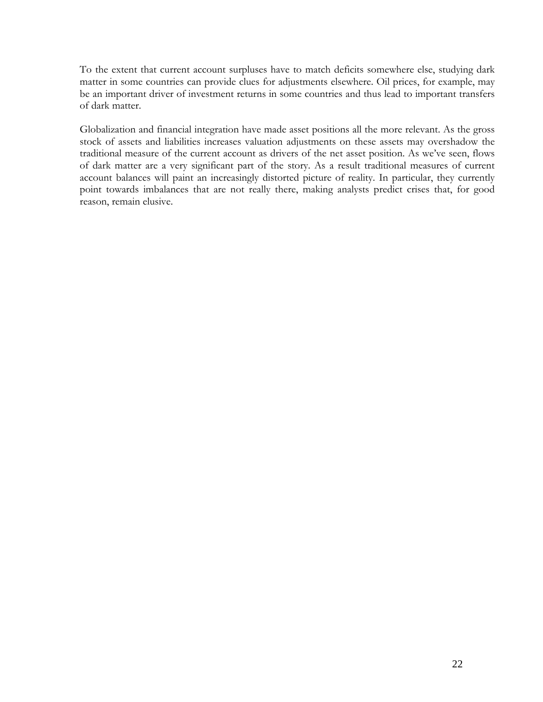To the extent that current account surpluses have to match deficits somewhere else, studying dark matter in some countries can provide clues for adjustments elsewhere. Oil prices, for example, may be an important driver of investment returns in some countries and thus lead to important transfers of dark matter.

Globalization and financial integration have made asset positions all the more relevant. As the gross stock of assets and liabilities increases valuation adjustments on these assets may overshadow the traditional measure of the current account as drivers of the net asset position. As we've seen, flows of dark matter are a very significant part of the story. As a result traditional measures of current account balances will paint an increasingly distorted picture of reality. In particular, they currently point towards imbalances that are not really there, making analysts predict crises that, for good reason, remain elusive.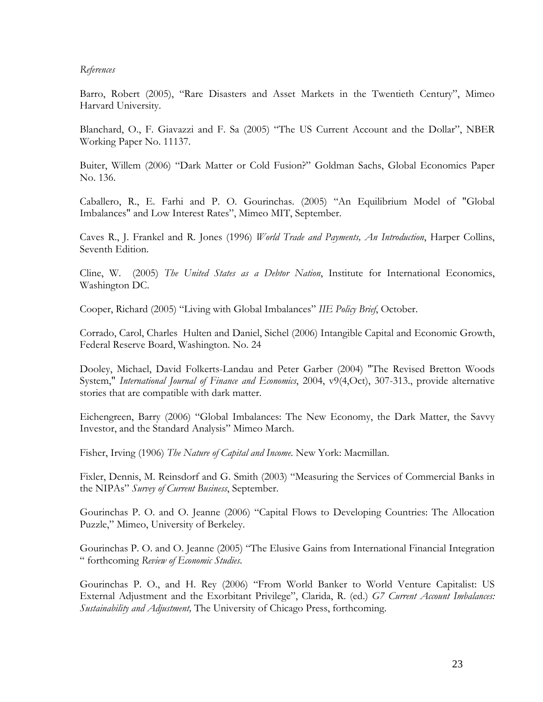#### *References*

Barro, Robert (2005), "Rare Disasters and Asset Markets in the Twentieth Century", Mimeo Harvard University.

Blanchard, O., F. Giavazzi and F. Sa (2005) "The US Current Account and the Dollar", NBER Working Paper No. 11137.

Buiter, Willem (2006) "Dark Matter or Cold Fusion?" Goldman Sachs, Global Economics Paper No. 136.

Caballero, R., E. Farhi and P. O. Gourinchas. (2005) "[An Equilibrium Model of "Global](http://socrates.berkeley.edu/~pog/Global_Imbalances0930.pdf)  [Imbalances" and Low Interest Rates](http://socrates.berkeley.edu/~pog/Global_Imbalances0930.pdf)", Mimeo MIT, September.

Caves R., J. Frankel and R. Jones (1996) *World Trade and Payments, An Introduction*, Harper Collins, Seventh Edition.

Cline, W. (2005) *The United States as a Debtor Nation*, Institute for International Economics, Washington DC.

Cooper, Richard (2005) "Living with Global Imbalances" *IIE Policy Brief*, October.

Corrado, Carol, Charles Hulten and Daniel, Sichel (2006) Intangible Capital and Economic Growth, Federal Reserve Board, Washington. No. 24

Dooley, Michael, David Folkerts-Landau and Peter Garber (2004) "The Revised Bretton Woods System," *International Journal of Finance and Economics*, 2004, v9(4,Oct), 307-313., provide alternative stories that are compatible with dark matter.

Eichengreen, Barry (2006) "Global Imbalances: The New Economy, the Dark Matter, the Savvy Investor, and the Standard Analysis" Mimeo March.

Fisher, Irving (1906) *The Nature of Capital and Income*. New York: Macmillan.

Fixler, Dennis, M. Reinsdorf and G. Smith (2003) "Measuring the Services of Commercial Banks in the NIPAs" *Survey of Current Business*, September.

Gourinchas P. O. and O. Jeanne (2006) ["Capital Flows to Developing Countries: The Allocation](http://socrates.berkeley.edu/~pog/academic/paperjuly30.pdf)  [Puzzle,](http://socrates.berkeley.edu/~pog/academic/paperjuly30.pdf)" Mimeo, University of Berkeley.

Gourinchas P. O. and O. Jeanne (2005) ["The Elusive Gains from International Financial Integration](http://socrates.berkeley.edu/~pog/academic/liberalization/prepub_gj.pdf) " forthcoming *Review of Economic Studies*.

Gourinchas P. O., and H. Rey (2006) ["From World Banker to World Venture Capitalist: US](http://socrates.berkeley.edu/~pog/academic/exorbitant)  [External Adjustment and the Exorbitant Privilege"](http://socrates.berkeley.edu/~pog/academic/exorbitant), Clarida, R. (ed.) *[G7 Current Account Imbalances:](http://www.nber.org/books/curracct/index.html)  [Sustainability and Adjustment](http://www.nber.org/books/curracct/index.html),* The University of Chicago Press, forthcoming.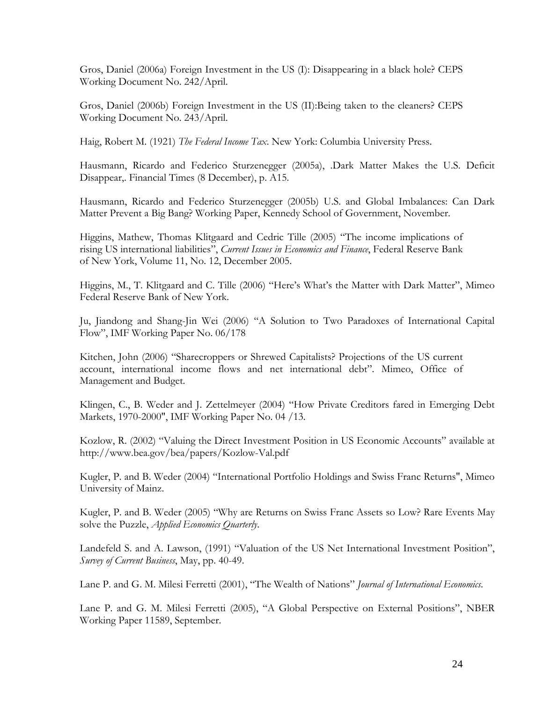Gros, Daniel (2006a) Foreign Investment in the US (I): Disappearing in a black hole? CEPS Working Document No. 242/April.

Gros, Daniel (2006b) Foreign Investment in the US (II):Being taken to the cleaners? CEPS Working Document No. 243/April.

Haig, Robert M. (1921) *The Federal Income Tax*. New York: Columbia University Press.

Hausmann, Ricardo and Federico Sturzenegger (2005a), .Dark Matter Makes the U.S. Deficit Disappear,. Financial Times (8 December), p. A15.

Hausmann, Ricardo and Federico Sturzenegger (2005b) U.S. and Global Imbalances: Can Dark Matter Prevent a Big Bang? Working Paper, Kennedy School of Government, November.

Higgins, Mathew, Thomas Klitgaard and Cedric Tille (2005) "The income implications of rising US international liabilities", *Current Issues in Economics and Finance*, Federal Reserve Bank of New York, Volume 11, No. 12, December 2005.

Higgins, M., T. Klitgaard and C. Tille (2006) "Here's What's the Matter with Dark Matter", Mimeo Federal Reserve Bank of New York.

Ju, Jiandong and Shang-Jin Wei (2006) "[A Solution to Two Paradoxes of International Capital](http://www.imf.org/external/pubs/cat/longres.cfm?sk=19261) [Flow", IMF W](http://www.imf.org/external/pubs/cat/longres.cfm?sk=19261)orking Paper No. 06/178

Kitchen, John (2006) "Sharecroppers or Shrewed Capitalists? Projections of the US current account, international income flows and net international debt". Mimeo, Office of Management and Budget.

Klingen, C., B. Weder and J. Zettelmeyer (2004) "How Private Creditors fared in Emerging Debt Markets, 1970-2000", [IMF Working Paper No. 04 /13](http://www.imf.org/external/pubs/cat/longres.cfm?sk=17107.0).

Kozlow, R. (2002) "Valuing the Direct Investment Position in US Economic Accounts" available at http://www.bea.gov/bea/papers/Kozlow-Val.pdf

Kugler, P. and B. Weder (2004) ["International Portfolio Holdings and Swiss Franc Returns](http://www.macro.vwl.uni-mainz.de/ls/ger/Dateien/int_portfolio_allocation_and_returns_March_16.pdf)", Mimeo University of Mainz.

Kugler, P. and B. Weder (2005) "Why are Returns on Swiss Franc Assets so Low? Rare Events May solve the Puzzle, *Applied Economics Quarterly*.

Landefeld S. and A. Lawson, (1991) "Valuation of the US Net International Investment Position", *Survey of Current Business*, May, pp. 40-49.

Lane P. and G. M. Milesi Ferretti (2001), "The Wealth of Nations" *Journal of International Economics*.

Lane P. and G. M. Milesi Ferretti (2005), "A Global Perspective on External Positions", NBER Working Paper 11589, September.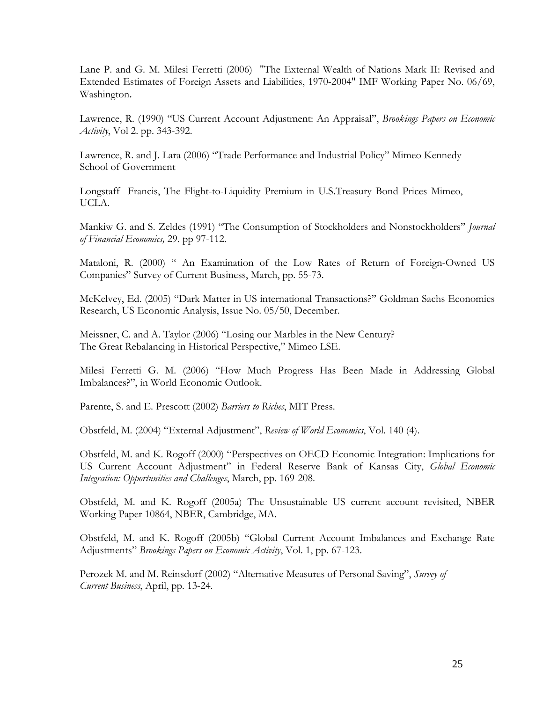Lane P. and G. M. Milesi Ferretti (2006) ["The External Wealth of Nations Mark II: Revised and](http://www.imf.org/external/pubs/cat/longres.cfm?sk=18942.0)  [Extended Estimates of Foreign Assets and Liabilities, 1970-2004"](http://www.imf.org/external/pubs/cat/longres.cfm?sk=18942.0) IMF Working Paper No. 06/69, Washington.

Lawrence, R. (1990) "US Current Account Adjustment: An Appraisal", *Brookings Papers on Economic Activity*, Vol 2. pp. 343-392.

Lawrence, R. and J. Lara (2006) "Trade Performance and Industrial Policy" Mimeo Kennedy School of Government

Longstaff Francis, The Flight-to-Liquidity Premium in U.S.Treasury Bond Prices Mimeo, UCLA.

Mankiw G. and S. Zeldes (1991) "The Consumption of Stockholders and Nonstockholders" *Journal of Financial Economics,* 29. pp 97-112.

Mataloni, R. (2000) " An Examination of the Low Rates of Return of Foreign-Owned US Companies" Survey of Current Business, March, pp. 55-73.

McKelvey, Ed. (2005) "Dark Matter in US international Transactions?" Goldman Sachs Economics Research, US Economic Analysis, Issue No. 05/50, December.

Meissner, C. and A. Taylor (2006) "Losing our Marbles in the New Century? The Great Rebalancing in Historical Perspective," Mimeo LSE.

Milesi Ferretti G. M. (2006) "How Much Progress Has Been Made in Addressing Global Imbalances?", in World Economic Outlook.

Parente, S. and E. Prescott (2002) *Barriers to Riches*, MIT Press.

Obstfeld, M. (2004) "External Adjustment", *Review of World Economics*, Vol. 140 (4).

Obstfeld, M. and K. Rogoff (2000) "Perspectives on OECD Economic Integration: Implications for US Current Account Adjustment" in Federal Reserve Bank of Kansas City, *Global Economic Integration: Opportunities and Challenges*, March, pp. 169-208.

Obstfeld, M. and K. Rogoff (2005a) The Unsustainable US current account revisited, NBER Working Paper 10864, NBER, Cambridge, MA.

Obstfeld, M. and K. Rogoff (2005b) "Global Current Account Imbalances and Exchange Rate Adjustments" *Brookings Papers on Economic Activity*, Vol. 1, pp. 67-123.

Perozek M. and M. Reinsdorf (2002) "Alternative Measures of Personal Saving", *Survey of Current Business*, April, pp. 13-24.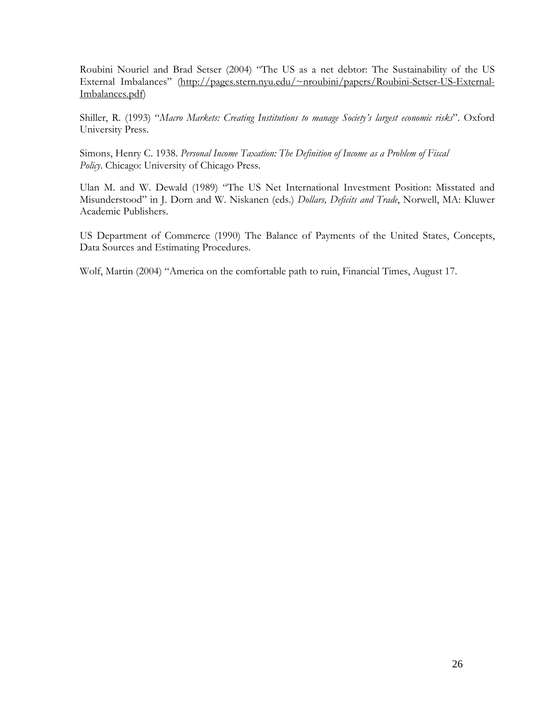Roubini Nouriel and Brad Setser (2004) "The US as a net debtor: The Sustainability of the US External Imbalances" ([http://pages.stern.nyu.edu/~nroubini/papers/Roubini-Setser-US-External-](http://pages.stern.nyu.edu/~nroubini/papers/Roubini-Setser-US-External-Imbalances.pdf)[Imbalances.pdf](http://pages.stern.nyu.edu/~nroubini/papers/Roubini-Setser-US-External-Imbalances.pdf))

Shiller, R. (1993) "*Macro Markets: Creating Institutions to manage Society's largest economic risks*". Oxford University Press.

Simons, Henry C. 1938. *Personal Income Taxation: The Definition of Income as a Problem of Fiscal Policy*. Chicago: University of Chicago Press.

Ulan M. and W. Dewald (1989) "The US Net International Investment Position: Misstated and Misunderstood" in J. Dorn and W. Niskanen (eds.) *Dollars, Deficits and Trade*, Norwell, MA: Kluwer Academic Publishers.

US Department of Commerce (1990) The Balance of Payments of the United States, Concepts, Data Sources and Estimating Procedures.

Wolf, Martin (2004) "America on the comfortable path to ruin, Financial Times, August 17.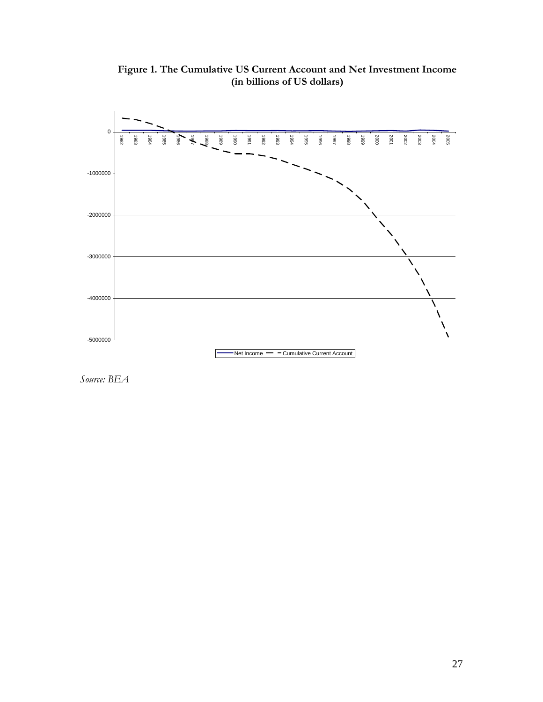

**Figure 1. The Cumulative US Current Account and Net Investment Income (in billions of US dollars)** 

*Source: BEA*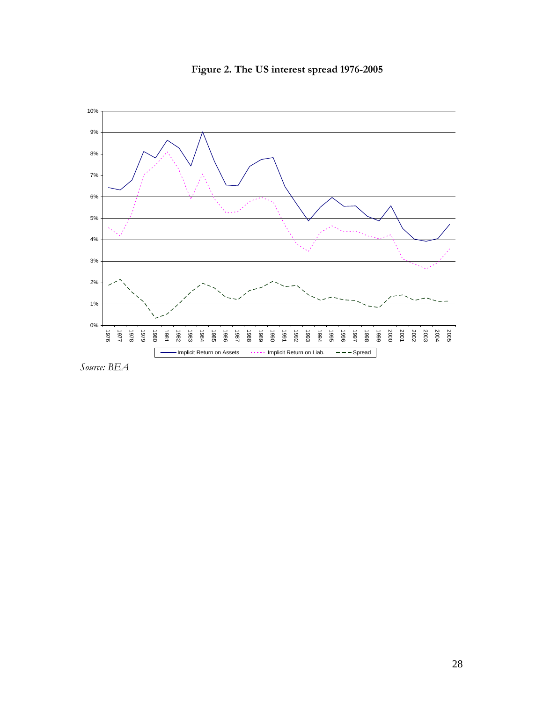

**Figure 2. The US interest spread 1976-2005** 

*Source: BEA*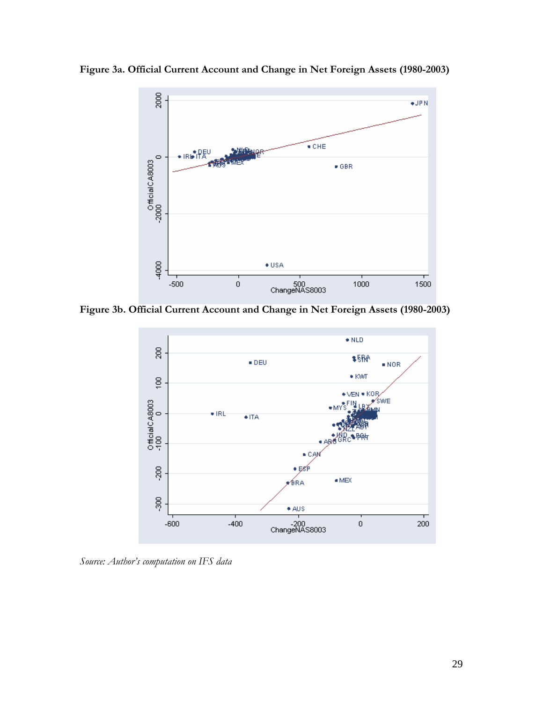

**Figure 3a. Official Current Account and Change in Net Foreign Assets (1980-2003)** 

**Figure 3b. Official Current Account and Change in Net Foreign Assets (1980-2003)** 



*Source: Author's computation on IFS data*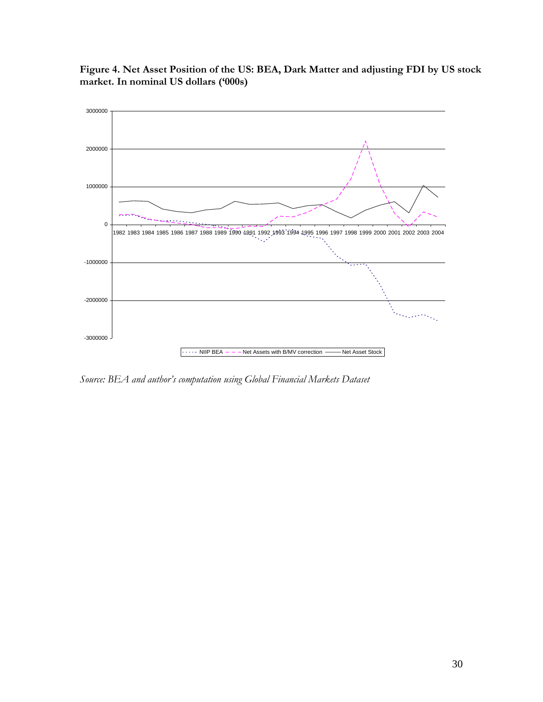

**Figure 4. Net Asset Position of the US: BEA, Dark Matter and adjusting FDI by US stock market. In nominal US dollars ('000s)** 

*Source: BEA and author's computation using Global Financial Markets Dataset*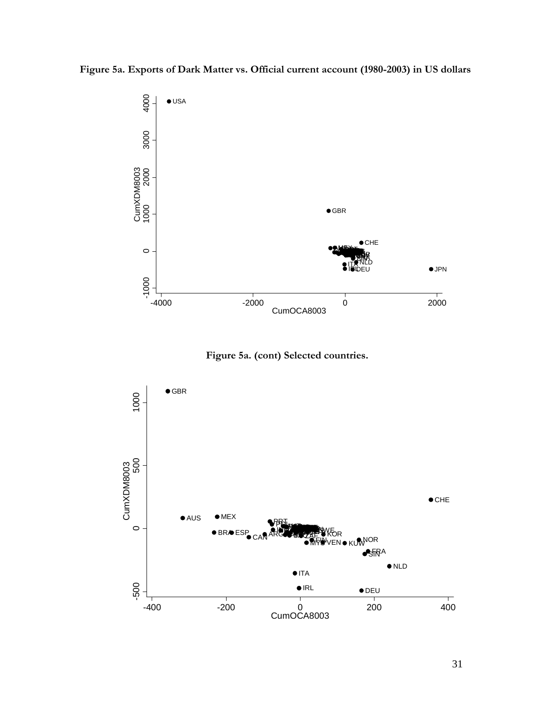**Figure 5a. Exports of Dark Matter vs. Official current account (1980-2003) in US dollars** 





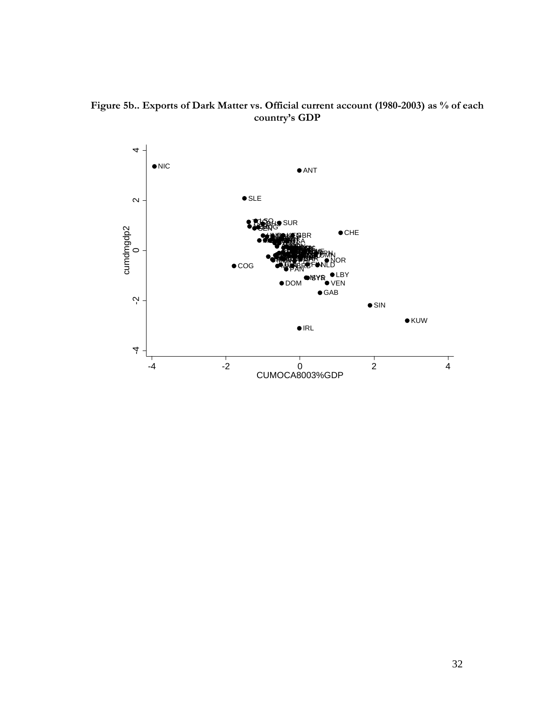

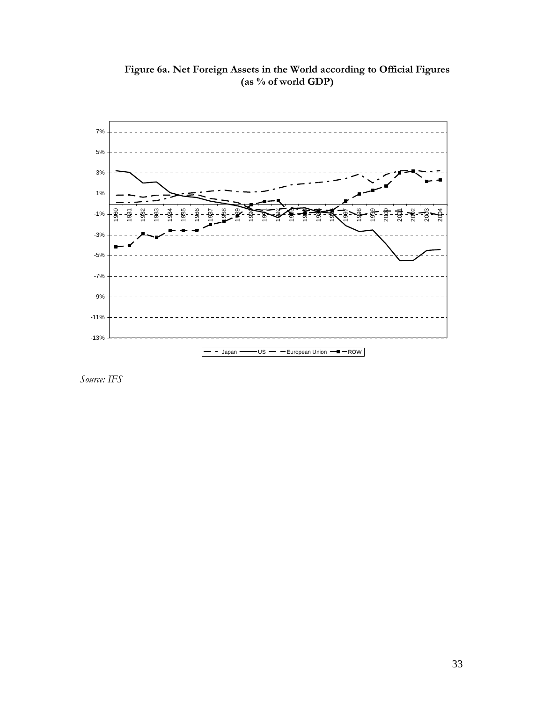

**Figure 6a. Net Foreign Assets in the World according to Official Figures (as % of world GDP)**

*Source: IFS*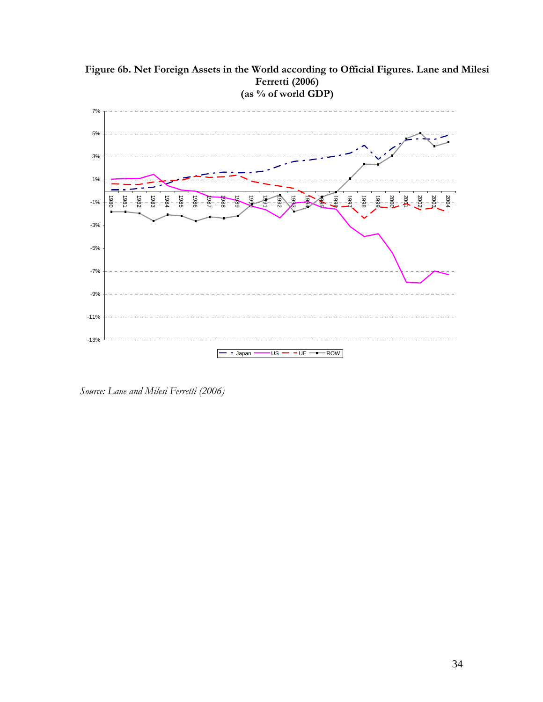

**Figure 6b. Net Foreign Assets in the World according to Official Figures. Lane and Milesi Ferretti (2006)** 

*Source: Lane and Milesi Ferretti (2006)*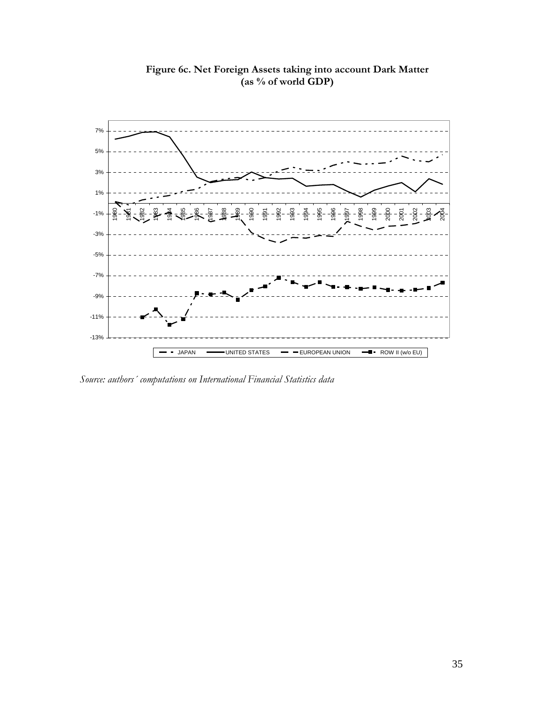

**Figure 6c. Net Foreign Assets taking into account Dark Matter (as % of world GDP)** 

*Source: authors´ computations on International Financial Statistics data*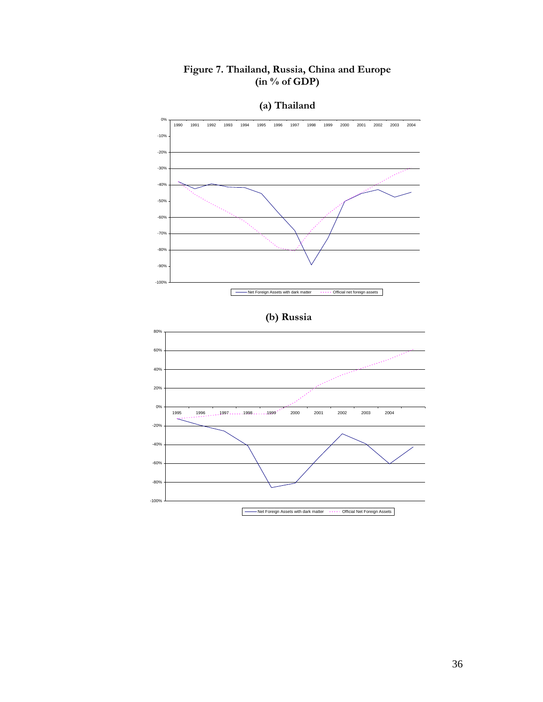# **Figure 7. Thailand, Russia, China and Europe (in % of GDP)**



**(a) Thailand**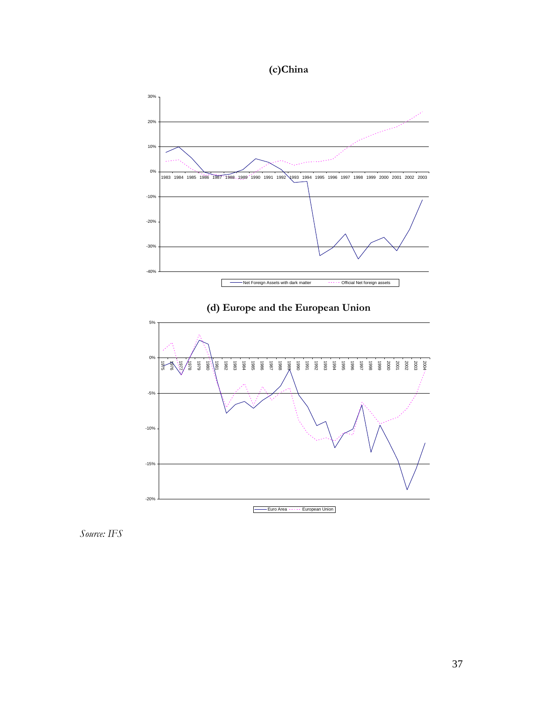



*Source: IFS*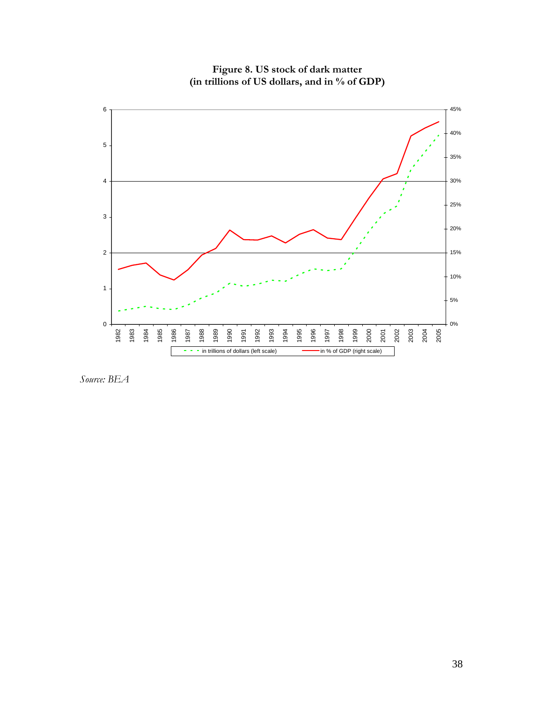

**Figure 8. US stock of dark matter (in trillions of US dollars, and in % of GDP)** 

*Source: BEA*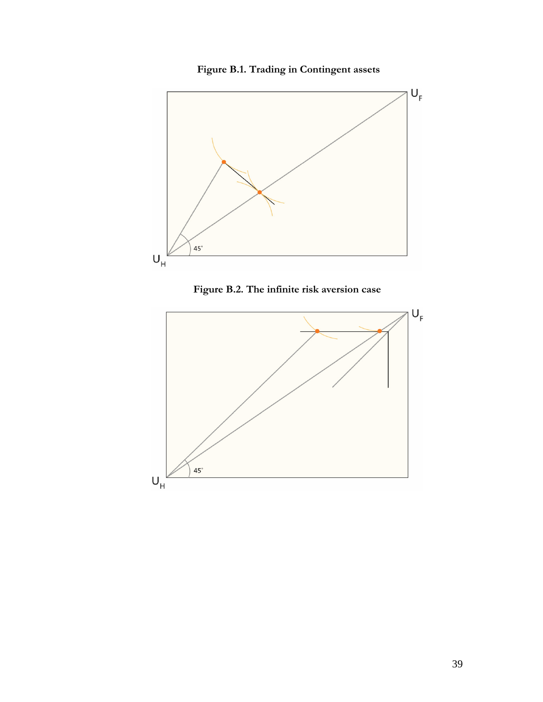**Figure B.1. Trading in Contingent assets**





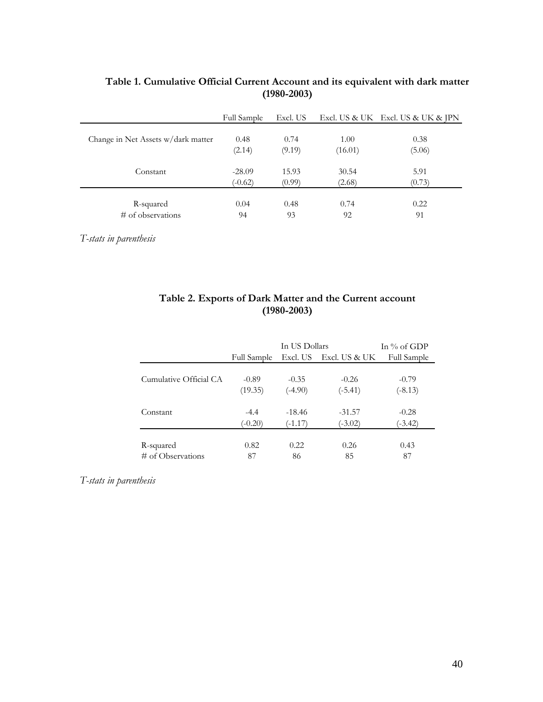|                                    | <b>Full Sample</b> | Excl. US |         | Excl. US & UK Excl. US & UK & JPN |
|------------------------------------|--------------------|----------|---------|-----------------------------------|
| Change in Net Assets w/dark matter | 0.48               | 0.74     | 1.00    | 0.38                              |
|                                    | (2.14)             | (9.19)   | (16.01) | (5.06)                            |
| Constant                           | $-28.09$           | 15.93    | 30.54   | 5.91                              |
|                                    | $(-0.62)$          | (0.99)   | (2.68)  | (0.73)                            |
| R-squared                          | 0.04               | 0.48     | 0.74    | 0.22                              |
| # of observations                  | 94                 | 93       | 92      | 91                                |

# **Table 1. Cumulative Official Current Account and its equivalent with dark matter (1980-2003)**

*T-stats in parenthesis* 

|                        |                    | In $%$ of GDP |               |             |
|------------------------|--------------------|---------------|---------------|-------------|
|                        | <b>Full Sample</b> | Excl. US      | Excl. US & UK | Full Sample |
|                        |                    |               |               |             |
| Cumulative Official CA | $-0.89$            | $-0.35$       | $-0.26$       | $-0.79$     |
|                        | (19.35)            | $(-4.90)$     | $(-5.41)$     | $(-8.13)$   |
|                        |                    |               |               |             |
| Constant               | $-4.4$             | $-18.46$      | $-31.57$      | $-0.28$     |
|                        | $-0.20$            | $-1.17$       | $(-3.02)$     | $(-3.42)$   |
|                        |                    |               |               |             |
| R-squared              | 0.82               | 0.22          | 0.26          | 0.43        |
| # of Observations      | 87                 | 86            | 85            | 87          |

# **Table 2. Exports of Dark Matter and the Current account (1980-2003)**

*T-stats in parenthesis*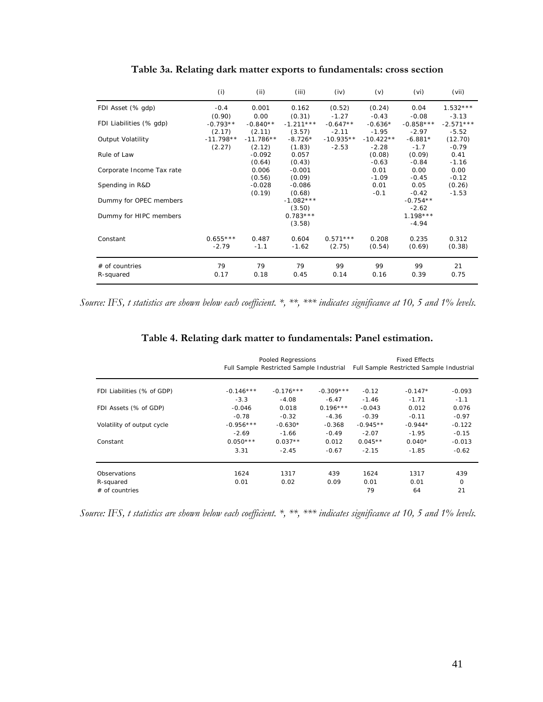|                           | (i)         | (ii)        | (iii)       | (iv)        | (v)         | (vi)        | (vii)       |
|---------------------------|-------------|-------------|-------------|-------------|-------------|-------------|-------------|
| FDI Asset (% gdp)         | $-0.4$      | 0.001       | 0.162       | (0.52)      | (0.24)      | 0.04        | $1.532***$  |
|                           | (0.90)      | 0.00        | (0.31)      | $-1.27$     | $-0.43$     | $-0.08$     | $-3.13$     |
| FDI Liabilities (% gdp)   | $-0.793**$  | $-0.840**$  | $-1.211***$ | $-0.647**$  | $-0.636*$   | $-0.858***$ | $-2.571***$ |
|                           | (2.17)      | (2.11)      | (3.57)      | $-2.11$     | $-1.95$     | $-2.97$     | $-5.52$     |
| Output Volatility         | $-11.798**$ | $-11.786**$ | $-8.726*$   | $-10.935**$ | $-10.422**$ | $-6.881*$   | (12.70)     |
|                           | (2.27)      | (2.12)      | (1.83)      | $-2.53$     | $-2.28$     | $-1.7$      | $-0.79$     |
| Rule of Law               |             | $-0.092$    | 0.057       |             | (0.08)      | (0.09)      | 0.41        |
|                           |             | (0.64)      | (0.43)      |             | $-0.63$     | $-0.84$     | $-1.16$     |
| Corporate Income Tax rate |             | 0.006       | $-0.001$    |             | 0.01        | 0.00        | 0.00        |
|                           |             | (0.56)      | (0.09)      |             | $-1.09$     | $-0.45$     | $-0.12$     |
| Spending in R&D           |             | $-0.028$    | $-0.086$    |             | 0.01        | 0.05        | (0.26)      |
|                           |             | (0.19)      | (0.68)      |             | $-0.1$      | $-0.42$     | $-1.53$     |
| Dummy for OPEC members    |             |             | $-1.082***$ |             |             | $-0.754**$  |             |
|                           |             |             | (3.50)      |             |             | $-2.62$     |             |
| Dummy for HIPC members    |             |             | $0.783***$  |             |             | $1.198***$  |             |
|                           |             |             | (3.58)      |             |             | $-4.94$     |             |
| Constant                  | $0.655***$  | 0.487       | 0.604       | $0.571***$  | 0.208       | 0.235       | 0.312       |
|                           | $-2.79$     | $-1.1$      | $-1.62$     | (2.75)      | (0.54)      | (0.69)      | (0.38)      |
| # of countries            | 79          | 79          | 79          | 99          | 99          | 99          | 21          |
| R-squared                 | 0.17        | 0.18        | 0.45        | 0.14        | 0.16        | 0.39        | 0.75        |

**Table 3a. Relating dark matter exports to fundamentals: cross section** 

*Source: IFS, t statistics are shown below each coefficient. \*, \*\*, \*\*\* indicates significance at 10, 5 and 1% levels.* 

|                            |             | Pooled Regressions<br>Full Sample Restricted Sample Industrial |             |            | <b>Fixed Effects</b><br>Full Sample Restricted Sample Industrial |          |  |  |
|----------------------------|-------------|----------------------------------------------------------------|-------------|------------|------------------------------------------------------------------|----------|--|--|
| FDI Liabilities (% of GDP) | $-0.146***$ | $-0.176***$                                                    | $-0.309***$ | $-0.12$    | $-0.147*$                                                        | $-0.093$ |  |  |
|                            | $-3.3$      | $-4.08$                                                        | $-6.47$     | $-1.46$    | $-1.71$                                                          | $-1.1$   |  |  |
| FDI Assets (% of GDP)      | $-0.046$    | 0.018                                                          | $0.196***$  | $-0.043$   | 0.012                                                            | 0.076    |  |  |
|                            | $-0.78$     | $-0.32$                                                        | $-4.36$     | $-0.39$    | $-0.11$                                                          | $-0.97$  |  |  |
| Volatility of output cycle | $-0.956***$ | $-0.630*$                                                      | $-0.368$    | $-0.945**$ | $-0.944*$                                                        | $-0.122$ |  |  |
|                            | $-2.69$     | $-1.66$                                                        | $-0.49$     | $-2.07$    | $-1.95$                                                          | $-0.15$  |  |  |
| Constant                   | $0.050***$  | $0.037**$                                                      | 0.012       | $0.045**$  | $0.040*$                                                         | $-0.013$ |  |  |
|                            | 3.31        | $-2.45$                                                        | $-0.67$     | $-2.15$    | $-1.85$                                                          | $-0.62$  |  |  |
| Observations               | 1624        | 1317                                                           | 439         | 1624       | 1317                                                             | 439      |  |  |
| R-squared                  | 0.01        | 0.02                                                           | 0.09        | 0.01       | 0.01                                                             | 0        |  |  |
| $#$ of countries           |             |                                                                |             | 79         | 64                                                               | 21       |  |  |

**Table 4. Relating dark matter to fundamentals: Panel estimation.** 

*Source: IFS, t statistics are shown below each coefficient. \*, \*\*, \*\*\* indicates significance at 10, 5 and 1% levels.*